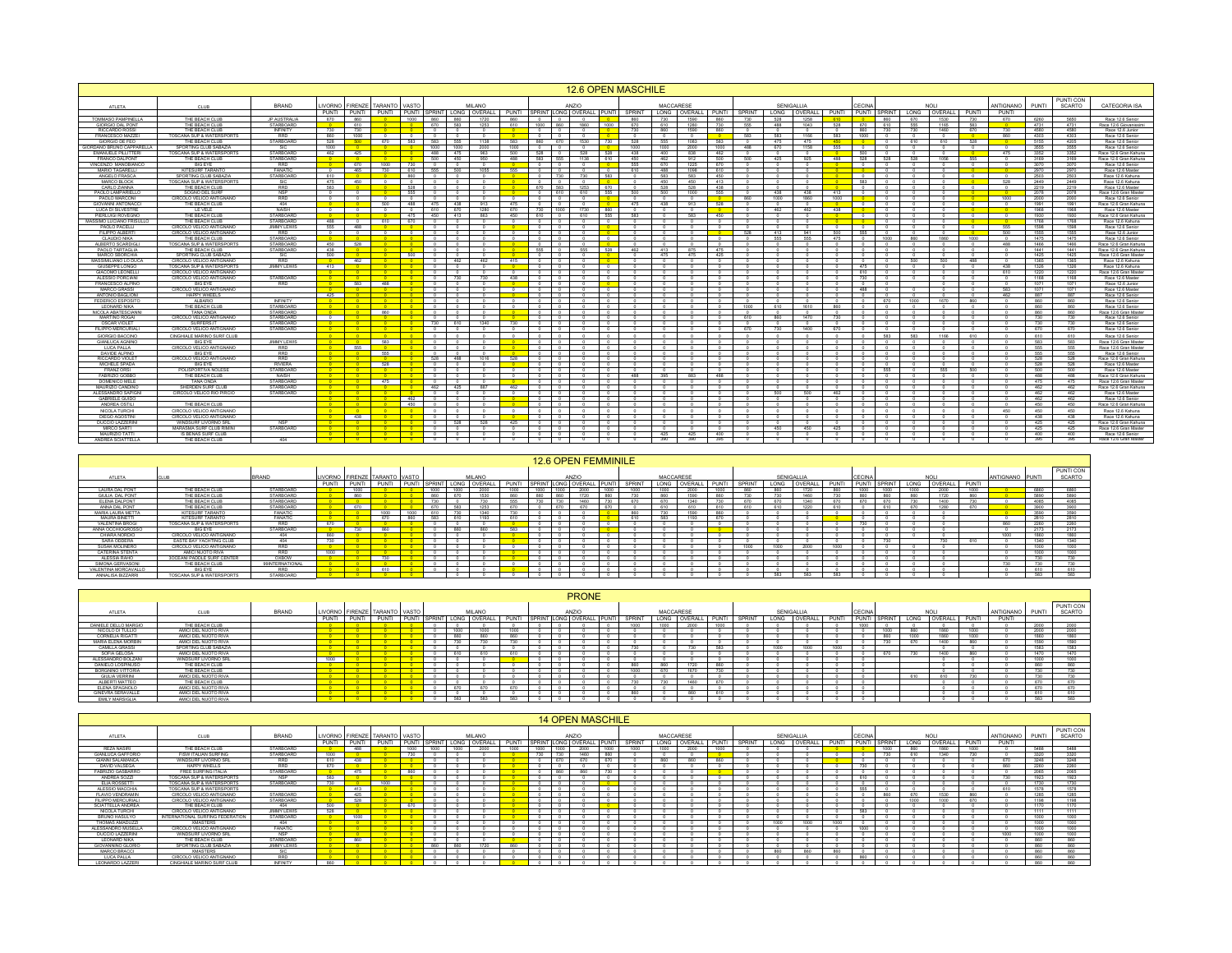|                                                                                                                                                           |                                                                                                                      |                                                     |                              |                                                                        |                                                                              |                                                     |                                                                                                                                                                                                                                                                          |                                   |                   |                                                                                                                                                                                                                                                                                                                                                                                                                                                                                       | 12.6 OPEN MASCHILE                                                                                            |     |                                                      |                                             |                                                                                                     |                                           |                                     |                                                                           |                                                                                                    |                                      |                                     |                                              |              |                                                                                                                                           |                                                                                                                         |                                                                                             |
|-----------------------------------------------------------------------------------------------------------------------------------------------------------|----------------------------------------------------------------------------------------------------------------------|-----------------------------------------------------|------------------------------|------------------------------------------------------------------------|------------------------------------------------------------------------------|-----------------------------------------------------|--------------------------------------------------------------------------------------------------------------------------------------------------------------------------------------------------------------------------------------------------------------------------|-----------------------------------|-------------------|---------------------------------------------------------------------------------------------------------------------------------------------------------------------------------------------------------------------------------------------------------------------------------------------------------------------------------------------------------------------------------------------------------------------------------------------------------------------------------------|---------------------------------------------------------------------------------------------------------------|-----|------------------------------------------------------|---------------------------------------------|-----------------------------------------------------------------------------------------------------|-------------------------------------------|-------------------------------------|---------------------------------------------------------------------------|----------------------------------------------------------------------------------------------------|--------------------------------------|-------------------------------------|----------------------------------------------|--------------|-------------------------------------------------------------------------------------------------------------------------------------------|-------------------------------------------------------------------------------------------------------------------------|---------------------------------------------------------------------------------------------|
| ATLETA                                                                                                                                                    | CLUB                                                                                                                 | <b>BRAND</b>                                        | <b>IVORNO</b>                |                                                                        | FIRENZE TARANTO VASTO                                                        |                                                     | MILANO                                                                                                                                                                                                                                                                   |                                   |                   |                                                                                                                                                                                                                                                                                                                                                                                                                                                                                       |                                                                                                               |     | MACCARESE                                            |                                             |                                                                                                     |                                           | <b>SENIGALLIA</b>                   |                                                                           | ECIN                                                                                               |                                      | <b>NOL</b>                          |                                              | ANTIGNANO    | PUNT                                                                                                                                      | PUNTI CON<br>SCARTO                                                                                                     | CATEGORIA ISA                                                                               |
| TOMMASO PAMPINELL/<br>GIORGIO DAL PONT                                                                                                                    | THE BEACH CLUE                                                                                                       | <b>IP AUSTRALL</b>                                  |                              | 860                                                                    |                                                                              |                                                     | PUNTI PUNTI PUNTI PUNTI SPRINT LONG OVERALL PUNTI SPRINT LONG OVERALL PUNTI SPRINT LONG COVERALL PUNTI SPRINT LONG OVERALL PUNTI SPRINT LONG OVERALL PUNTI SPRINT LONG OVERALL PUNTI SPRINT LONG OVERALL PUNTI SPRINT LONG OVE<br>$\frac{860}{670}$<br>$\frac{860}{583}$ |                                   |                   | $\begin{array}{c c} 0 & 0 \\ 1000 & 860 \end{array}$                                                                                                                                                                                                                                                                                                                                                                                                                                  |                                                                                                               |     |                                                      |                                             | $\frac{860}{730}$                                                                                   | 528                                       |                                     |                                                                           | $\frac{860}{610}$                                                                                  | $rac{670}{655}$                      |                                     | $\frac{730}{583}$                            | PUNTI        |                                                                                                                                           | 5650                                                                                                                    | Race 12.6 Senio                                                                             |
| RICCARDO ROSSI<br>FRANCESCO MAZZEI                                                                                                                        | THE BEACH CLU<br>THE BEACH CLUB<br>OSCANA SUP & WATERSPI                                                             | STARBOAR<br>INFINITY<br>RRD                         | $\frac{730}{860}$            | 610<br>730                                                             |                                                                              |                                                     | 1253<br>$\sim$<br>$\circ$<br>$^{\circ}$                                                                                                                                                                                                                                  | 610<br>$\overline{\phantom{a}}$   |                   | $\begin{array}{c c} 0 & 0 \\ \hline 0 & 0 \end{array}$                                                                                                                                                                                                                                                                                                                                                                                                                                | $\frac{0}{1000}$<br>$\overline{\phantom{0}}$                                                                  |     | 610<br>860<br>730                                    | 1280<br>1590                                | 860                                                                                                 | 488<br>$rac{0}{583}$                      | 1043<br>$\frac{0}{1166}$            | $\frac{610}{528}$<br>$rac{0}{583}$                                        | $rac{0}{670}$<br>860<br>730                                                                        | 730                                  | 1165<br>1460                        | 670                                          |              | 473<br>4580                                                                                                                               | 4731<br>4580                                                                                                            | Race 12.6 Giovanissi<br>Race 12.6 Junior<br>Race 12.6 Senior                                |
| <b>GIORGIO DE FEO</b>                                                                                                                                     | THE BEACH CLUB                                                                                                       | STARBOARD                                           | 528                          | 1000<br>500                                                            | 670                                                                          | 583                                                 | 583 555<br>1138                                                                                                                                                                                                                                                          | $\overline{\phantom{0}}$ 0<br>583 | 860               | 670                                                                                                                                                                                                                                                                                                                                                                                                                                                                                   | $\overline{\phantom{a}}$<br>730                                                                               |     | 555<br>528                                           | 1083                                        | 583<br>583<br>$^{\circ}$<br>488                                                                     | 475<br>670                                | 475<br>1158                         | 450                                                                       | 1000<br>$\circ$<br>$\circ$                                                                         | 610                                  | 610                                 | 528                                          |              | 4303<br>5155                                                                                                                              | 4303<br>4205                                                                                                            | Race 12.6 Senior                                                                            |
| DRIDANO BRUNO CAPPARELI<br>EMANUELE PILLITTERI<br>FRANCO DALPONT<br>VINCENZO MANOBIANO                                                                    | SPORTING CLUB SABAZ<br>THE BEACH CLUB                                                                                | SIC<br>STARBOARD<br>STARBOARD                       | $\frac{1000}{462}$           | 425                                                                    |                                                                              |                                                     | $\begin{array}{ c c c }\n\hline\n1000 & 1000 \\ \hline\n488 & 475 \\ \hline\n\end{array}$<br>2000<br>963<br>500 450<br>950                                                                                                                                               | $\frac{1000}{500}$<br>488         |                   | $\begin{array}{c cc}\n\hline\n0 & 0 \\ \hline\n628 & 0 \\ \hline\n583 & 555\n\end{array}$                                                                                                                                                                                                                                                                                                                                                                                             | $\begin{array}{r} 0 \\ 528 \\ 610 \end{array}$                                                                |     | $\frac{1000}{400}$                                   |                                             | $\frac{1000}{462}$                                                                                  | 425                                       | 925                                 | $-555$<br>488                                                             | $rac{0}{500}$<br>528                                                                               | 528                                  |                                     | 555                                          | 475          | $\begin{array}{r} \hline 3555 \\ 3352 \\ 3169 \end{array}$                                                                                |                                                                                                                         | Race 12.6 Senior<br>Race 12.6 Gran Kahuna<br>Race 12.6 Gran Kahuna<br>Race 12.6 Senior      |
|                                                                                                                                                           | BIG EYE<br>KITESURF TARANT                                                                                           | RRD<br>FANATIC<br>STARBOARD                         |                              | $\frac{0}{670}$<br>465                                                 |                                                                              |                                                     | 10 0 500 450<br>1000 730 0 0<br>730 610 555 500<br>$^{\circ}$<br>1055                                                                                                                                                                                                    | $rac{0}{555}$                     |                   | $0$ 0<br>$0$ 0                                                                                                                                                                                                                                                                                                                                                                                                                                                                        |                                                                                                               | 610 | $\frac{462}{670}$<br>555                             | 1225<br>1098                                | 670<br>610                                                                                          | $^{\circ}$                                | $\circ$                             |                                                                           | $\circ$<br>$\circ$<br>$\overline{0}$<br>$\bullet$                                                  |                                      |                                     | $\circ$                                      |              | 3070<br>2970                                                                                                                              | 3070<br>2970                                                                                                            |                                                                                             |
| MARIO TAGARELLI<br>ANGELO FRASCA<br>MARCO BLOCK                                                                                                           | SPORTING CLUB SABAZ<br><b>FOSCANA SUP &amp; WATERSPORT</b>                                                           |                                                     | $rac{0}{610}$<br>475         | 450                                                                    |                                                                              | 860<br>$\overline{0}$                               | $\circ$<br>$^{\circ}$<br>$\sqrt{2}$<br>$\overline{\phantom{a}}$                                                                                                                                                                                                          |                                   |                   | $0$ 730                                                                                                                                                                                                                                                                                                                                                                                                                                                                               | $\frac{0}{583}$                                                                                               |     | $\frac{488}{583}$<br>450                             | 583<br>450                                  | 450<br>413                                                                                          |                                           |                                     |                                                                           | $^{\circ}$<br>583<br>$\sqrt{2}$                                                                    |                                      |                                     | $^{\circ}$                                   | <b>528</b>   | 2503<br>2449                                                                                                                              | 2449                                                                                                                    | Race 12.6 Master<br>Race 12.6 Kahuna<br>Race 12.6 Kahuna                                    |
| CARLO ZIANNA<br>PAOLO LAMPARIELL<br>PAOLO MARCONI                                                                                                         | THE BEACH CLUB<br>SOGNO DEL SURE                                                                                     | RRC                                                 | 583<br>$\circ$               | $\circ$                                                                |                                                                              | 528<br>555                                          |                                                                                                                                                                                                                                                                          |                                   |                   | 670 583<br>610                                                                                                                                                                                                                                                                                                                                                                                                                                                                        | $\begin{array}{ c c }\n\hline\n0 \\ \hline\n670 \\ \hline\n555\n\end{array}$                                  |     | 528<br>500                                           | 1000                                        | 438<br>$-555$                                                                                       | 438                                       | 438                                 | 413                                                                       |                                                                                                    |                                      |                                     |                                              |              | 2219<br>2078                                                                                                                              | 2078                                                                                                                    | Race 12.6 Master                                                                            |
| PAULO MARCONI<br>GIOVANNI ANTONACC                                                                                                                        | DLO VELICO ANTIGN<br>THE BEACH CLUB                                                                                  | NSP<br>RRD<br>404                                   |                              | $-0$                                                                   | $rac{0}{500}$                                                                | $\begin{array}{c c}\n0 \\ \hline\n488\n\end{array}$ | $\begin{array}{c c} 0 & 0 \\ \hline 475 & 438 \end{array}$<br>913                                                                                                                                                                                                        | $rac{0}{475}$                     |                   | ⊤∘                                                                                                                                                                                                                                                                                                                                                                                                                                                                                    | $\overline{\phantom{a}}$ 0                                                                                    |     | $\frac{0}{438}$                                      | 913                                         | 528                                                                                                 | 1000<br>$\circ$                           | $\circ$                             | $\overline{\phantom{a}}$                                                  | $\circ$<br>$\circ$                                                                                 |                                      |                                     | $\circ$                                      |              | $\frac{2000}{1991}$                                                                                                                       | 1991                                                                                                                    | Race 12.6 Gran Master<br>Race 12.6 Senior<br>Race 12.6 Gran Kahuna                          |
| <b>LUCA DI SILVESTRI</b>                                                                                                                                  | LE VELE                                                                                                              | NAISH<br>STARBOARD<br>STARBOARD                     | $\circ$                      | $\overline{\phantom{a}}$                                               | $\circ$                                                                      | $\overline{\phantom{0}}$<br>475<br>670              | 610<br>670<br>1280<br>450 413<br>863                                                                                                                                                                                                                                     | 670<br>450                        |                   | 730 1000<br>610 0                                                                                                                                                                                                                                                                                                                                                                                                                                                                     | 860<br>555<br>$\overline{\phantom{a}}$                                                                        |     | $\overline{\phantom{a}}$<br>$\overline{0}$           | 583                                         | $^{\circ}$<br>450                                                                                   | 462                                       | 462                                 | 438                                                                       | $\overline{0}$                                                                                     |                                      |                                     | $\bullet$                                    |              | 1968<br>$\frac{1930}{1768}$                                                                                                               | 1968<br>1930                                                                                                            | Race 12.6 Master                                                                            |
| LIDEN DI SEVERIME<br>PERLUIGI ROVEGNO<br>SSIMO LUCIANO FRISUL<br>PAOLO PACELLI<br>FILIPPO ALBERTI<br>CLAUDIO NIKA<br>ALBERTO SCARDIGLI<br>BAOLO TARTAGLIA | THE BEACH CLUB<br>THE BEACH CLUB<br>CIRCOLO VELICO ANTIGNA                                                           | JIMMY LEWIS                                         | $\frac{488}{655}$<br>$\circ$ | $\begin{array}{c c}\n\hline\n0 \\ \hline\n488\n\end{array}$<br>$\circ$ | $\frac{610}{0}$                                                              | $\overline{\phantom{a}}$                            | $\circ$                                                                                                                                                                                                                                                                  | $\circ$                           |                   | $\frac{1}{\sqrt{2}}$                                                                                                                                                                                                                                                                                                                                                                                                                                                                  |                                                                                                               |     | $\overline{\phantom{a}}$<br>$\overline{\phantom{0}}$ |                                             | 528                                                                                                 |                                           |                                     |                                                                           | $\frac{0}{0}$<br>$rac{0}{555}$                                                                     |                                      |                                     | $\circ$                                      | 500          | 1598                                                                                                                                      | 1598                                                                                                                    | Race 12.6 Gran Kahuna<br>Race 12.6 Kahuna<br>Race 12.6 Kahuna<br>Race 12.6 Senior           |
|                                                                                                                                                           | CIRCOLO VELICO ANTIGNANO<br>TOSCANA SUP & WATERSPORT                                                                 | RRD<br>STARBOARD<br>STARBOARD                       | 450                          | 528                                                                    |                                                                              |                                                     | $^{\circ}$<br>$\overline{\phantom{a}}$<br>$^{\circ}$                                                                                                                                                                                                                     |                                   |                   | $\overline{\phantom{a}}$<br>$0$ 0                                                                                                                                                                                                                                                                                                                                                                                                                                                     | Γο                                                                                                            |     |                                                      |                                             |                                                                                                     | $\frac{413}{555}$<br>$^{\circ}$           | $\frac{941}{655}$                   | $\frac{500}{475}$<br>$\overline{\phantom{a}}$                             | $rac{0}{1000}$<br>$\overline{\phantom{0}}$<br>$^{\circ}$                                           | $rac{0}{860}$<br>$^{\circ}$          | $\frac{0}{1860}$<br>$^{\circ}$      | $\frac{6}{1000}$<br>$\overline{\phantom{a}}$ | 488          | $\frac{1555}{1475}$<br>1466                                                                                                               | 1555<br>1475<br>1466                                                                                                    | Race 12.6 Junior<br>Race 12.6 Senior<br>Race 12.6 Gran Kahuna                               |
| PAOLO TARTAGLIA                                                                                                                                           | THE BEACH CLUB                                                                                                       | <b>STARBOARD</b><br>SIC<br>RRD                      | 438<br>500                   |                                                                        |                                                                              | $\frac{500}{2}$                                     | $^{\circ}$<br>$^{\circ}$                                                                                                                                                                                                                                                 |                                   |                   | $555$ 0                                                                                                                                                                                                                                                                                                                                                                                                                                                                               | 528                                                                                                           |     | 413<br>475                                           | 875                                         | 475<br>425                                                                                          |                                           |                                     |                                                                           | $\Omega$                                                                                           |                                      |                                     |                                              |              | $-1441$                                                                                                                                   | 1441                                                                                                                    | Race 12.6 Gran Kahuna                                                                       |
| MARCO SBORCHIA<br>MASSIMILIANO LO DUCA<br>GIUSEPPE LONGO                                                                                                  | SPORTING CLUB SABAZIA<br>CIRCOLO VELICO ANTIGNAN<br>OSCANA SUP & WATERSPORT                                          | <b>JIMMY LEWI</b>                                   | $\frac{0}{413}$              | 462<br>$\circ$                                                         |                                                                              |                                                     | $rac{0}{462}$<br>$\circ$                                                                                                                                                                                                                                                 | 415                               |                   |                                                                                                                                                                                                                                                                                                                                                                                                                                                                                       | $\overline{\phantom{a}}$                                                                                      |     |                                                      |                                             |                                                                                                     |                                           |                                     |                                                                           | 475                                                                                                | $\frac{800}{200}$                    | $\frac{8}{500}$                     | 488                                          |              | $\begin{array}{r}\n 1425 \\  \hline\n 1365 \\  \hline\n 1326\n \end{array}$                                                               |                                                                                                                         | Race 12.6 Gran Maste<br>Race 12.6 Kahuna<br>Race 12.6 Kahuna                                |
| GIACOMO LEONELL<br>ALESSIO PORCIANI                                                                                                                       | CIRCOLO VELICO ANTIGNANO<br>CIRCOLO VELICO ANTIGNANO<br><b>BIG EYE</b>                                               | STARBOARD<br>RRD                                    | $\bullet$                    | $\blacksquare$<br>$\frac{0}{583}$                                      | $\overline{\phantom{0}}$<br>$\overline{\phantom{a}}$<br>488                  |                                                     | $\sim$<br>$\overline{\phantom{a}}$<br>730<br>$\overline{0}$<br>730<br>$^{\circ}$<br>$\overline{\phantom{a}}$                                                                                                                                                             | $^{\circ}$<br>438                 |                   | $\overline{\phantom{0}}$<br>$\overline{0}$<br>$\overline{\phantom{a}}$                                                                                                                                                                                                                                                                                                                                                                                                                | $\overline{\phantom{0}}$<br>$\sim$                                                                            |     | $\circ$<br>$\overline{\phantom{a}}$                  |                                             | $\sim$<br>$\overline{\phantom{a}}$                                                                  | $^{\circ}$                                |                                     | $^{\circ}$                                                                | 610<br>$\overline{\phantom{a}}$<br>730<br>$\circ$<br>$\overline{0}$                                | $\circ$                              |                                     | $^{\circ}$<br>$\circ$                        |              | 1220<br>$\frac{1168}{1071}$                                                                                                               | 1220<br>1168                                                                                                            | Race 12.6 Gran Master<br>Race 12.6 Master<br>Race 12.6 Junior                               |
| MARCO GRASSI<br>ANTONIO BAGLION                                                                                                                           | EIRCOLO VELICO ANTIGNANO<br>HAPPY WHEELS<br>ALBARIO<br>THE BEACH CLUB<br>TANA ONDA                                   |                                                     | 425                          |                                                                        |                                                                              |                                                     | $\overline{\ }$<br>$^{\circ}$<br>$\overline{\phantom{a}}$                                                                                                                                                                                                                |                                   |                   | $^{\circ}$                                                                                                                                                                                                                                                                                                                                                                                                                                                                            | $\overline{\phantom{a}}$                                                                                      |     | $\overline{\phantom{a}}$                             |                                             |                                                                                                     |                                           |                                     |                                                                           | 488<br>$\overline{\phantom{a}}$<br>$\overline{\phantom{a}}$                                        |                                      |                                     |                                              | 583          | 1071<br>887                                                                                                                               |                                                                                                                         | Race 12.6 Master<br>Race 12.6 Senior                                                        |
| FEDERICO ESPOSITO                                                                                                                                         |                                                                                                                      | INFINITY<br>STARBOARD<br>STARBOARD                  | <b>D</b>                     |                                                                        |                                                                              |                                                     | $\overline{\phantom{0}}$<br>$\overline{\phantom{0}}$<br>$\circ$                                                                                                                                                                                                          | $\overline{\phantom{0}}$          |                   |                                                                                                                                                                                                                                                                                                                                                                                                                                                                                       | $\frac{1}{2}$<br>$\overline{\phantom{a}}$                                                                     |     | $\overline{\phantom{0}}$                             |                                             | 1000                                                                                                | $rac{0}{610}$                             | $\overline{\phantom{0}}$<br>1610    | 860                                                                       | 670<br>$\circ$                                                                                     | 1000                                 | 1670                                | 860                                          |              | $\frac{860}{860}$                                                                                                                         | 860<br>860                                                                                                              | Race 12.6 Senior<br>Race 12.6 Senior                                                        |
| LEONARD NIKA<br>NICOLA ABATESCIANN<br>MARTINO ROGAL<br>OSCAR VIOLET                                                                                       | CIRCOLO VELICO ANTIGNANO                                                                                             | STARBOARD<br>STARBOARD                              |                              | $\overline{\phantom{0}}$                                               | $rac{0}{860}$                                                                |                                                     | $\sim$<br>$\circ$<br>$^{\circ}$                                                                                                                                                                                                                                          |                                   |                   | $\circ$<br>$^{\circ}$                                                                                                                                                                                                                                                                                                                                                                                                                                                                 | $\overline{\phantom{a}}$<br>$\sim$                                                                            |     | $\circ$                                              |                                             | $^{\circ}$<br>610                                                                                   | $^{\circ}$<br>860                         | $^{\circ}$<br>1470                  | $^{\circ}$<br>730                                                         | $\circ$<br>$\sim$                                                                                  |                                      |                                     |                                              |              | 860<br>730                                                                                                                                | 860                                                                                                                     | Race 12.6 Gran Maste<br>Race 12.6 Senior<br>Race 12.6 Senior                                |
| FILIPPO MERCURIAL                                                                                                                                         | CIRCOLO VELICO ANTIGNANO                                                                                             | STARBOARD                                           |                              |                                                                        |                                                                              |                                                     | 730 610<br>1340<br>$\overline{\phantom{a}}$<br>$\overline{\phantom{a}}$<br>$\circ$                                                                                                                                                                                       | 730                               |                   |                                                                                                                                                                                                                                                                                                                                                                                                                                                                                       | Γñ<br>$\overline{\phantom{a}}$                                                                                |     |                                                      |                                             | 670                                                                                                 | 730                                       | 1400                                | 670                                                                       | $\overline{\phantom{a}}$                                                                           |                                      |                                     |                                              |              | 730<br>670                                                                                                                                | 670                                                                                                                     | Race 12.6 Senior                                                                            |
| <b>GIORGIO BACCINO</b><br><b>SIANLUCA AGNIN</b>                                                                                                           | CINGHIALE MARINO SURF CLUB<br><b>BIG EYE</b>                                                                         | <b>JIMMY LEWIS</b>                                  | $\bullet$                    | $\bullet$                                                              | $\bullet$                                                                    |                                                     | $\sim$<br>$\circ$<br>$\circ$                                                                                                                                                                                                                                             | $^{\circ}$                        |                   | $\circ$                                                                                                                                                                                                                                                                                                                                                                                                                                                                               | $\sim$<br>$^{\circ}$                                                                                          |     | $\circ$                                              | $\circ$                                     | $\circ$<br>$\circ$                                                                                  | $\circ$                                   | $\circ$                             | $\circ$                                                                   | 583<br>$^{\circ}$                                                                                  | 583                                  | 1166                                | 610                                          |              | 610<br>583                                                                                                                                | 610                                                                                                                     | Race 12.6 Senior<br>Race 12.6 Gran Maste                                                    |
| LUCA PALLA<br>DAVIDE ALPINO<br>RICCARDO VIOLET                                                                                                            | CIRCOLO VELICO ANTIGNANO<br>BIG EYE<br>CIRCOLO VELICO ANTIGNANO                                                      | RRD<br>RRD<br>RIVIERA                               |                              | 555<br>$^{\circ}$                                                      | $\begin{array}{r} \n 683 \\  \hline\n 6\n \end{array}$                       |                                                     | $\begin{array}{c c}\n0 & 0 \\ \hline\n628 & 488\n\end{array}$<br>$\frac{6}{1016}$                                                                                                                                                                                        |                                   |                   | $\frac{0}{0}$                                                                                                                                                                                                                                                                                                                                                                                                                                                                         |                                                                                                               |     |                                                      |                                             |                                                                                                     |                                           |                                     |                                                                           | ÷                                                                                                  |                                      |                                     |                                              |              | $-555$<br>$rac{555}{528}$                                                                                                                 |                                                                                                                         | Race 12.6 Gran Master<br>Race 12.6 Gran Kahuna<br>Race 12.6 Gran Kahuna                     |
| MICHELE SPADA                                                                                                                                             | <b>BIG EYE</b>                                                                                                       |                                                     |                              | $\overline{\phantom{0}}$                                               | $rac{0}{528}$                                                                |                                                     | $0$ 0<br>$^{\circ}$                                                                                                                                                                                                                                                      | 528<br>$^{\circ}$                 | $\circ$           | $\overline{\phantom{a}}$                                                                                                                                                                                                                                                                                                                                                                                                                                                              | $\overline{\phantom{a}}$<br>Ιo                                                                                |     |                                                      |                                             | $^{\circ}$                                                                                          |                                           |                                     | $^{\circ}$<br>$\Omega$                                                    | $\bullet$<br>555                                                                                   |                                      | $^{\circ}$<br>555                   | $^{\circ}$<br>500                            |              | 528                                                                                                                                       | 528                                                                                                                     | Race 12.6 Master                                                                            |
| FRANZ ORSI<br>FABRIZIO GOBBO<br>DOMENICO MEL                                                                                                              | POLISPORTIVA NOLESE<br>THE BEACH CLUB<br>TANA ONDA                                                                   | STARBOARD<br>NAISH<br>STARBOARD                     |                              |                                                                        | 475                                                                          |                                                     | $\circ$<br>$\overline{\phantom{a}}$                                                                                                                                                                                                                                      |                                   |                   | $0$ 0<br>$\overline{\phantom{a}}$                                                                                                                                                                                                                                                                                                                                                                                                                                                     | −∘                                                                                                            |     | $rac{0}{396}$                                        | $-883$                                      | $rac{0}{488}$                                                                                       |                                           |                                     |                                                                           | $^{\circ}$                                                                                         |                                      |                                     |                                              |              | $-600$<br>488<br>475                                                                                                                      | 50<br>481                                                                                                               | Race 12.6 Master<br>Race 12.6 Gran Kahuna<br>Race 12.6 Gran Master<br>Race 12.6 Gran Master |
| <u>MAURIZIO CANDINO</u><br>LESSANDRO SAPIG                                                                                                                | SHERDEN SURF CLUB<br>RCOLO VELICO RIO PIR                                                                            | STARBOARD<br>STARBOARD                              |                              |                                                                        | <u>_0</u>                                                                    |                                                     | 462<br>425                                                                                                                                                                                                                                                               | 462                               |                   |                                                                                                                                                                                                                                                                                                                                                                                                                                                                                       | $\frac{1}{\circ}$                                                                                             |     |                                                      |                                             |                                                                                                     | $rac{0}{500}$                             | $rac{0}{500}$                       | $rac{0}{462}$                                                             | $rac{0}{0}$                                                                                        |                                      |                                     |                                              |              | $\begin{array}{r} 462 \\ 462 \\ \hline 462 \end{array}$                                                                                   | $\frac{462}{462}$                                                                                                       | Race 12.6 Gran Kahuna<br>Race 12.6 Master<br>Race 12.6 Senior                               |
| GABRIELE GUIDO<br>ANDREA OSTILI                                                                                                                           | THE BEACH CLUB                                                                                                       |                                                     | $\overline{\mathbf{0}}$      | $-0$<br>$\overline{\phantom{0}}$                                       | $\overline{\phantom{0}}$<br>$\overline{\phantom{0}}$                         | $-462$<br>450                                       | $\begin{array}{c c} 0 & 0 \\ \hline 0 & 0 \end{array}$<br>$\overline{\phantom{0}}$<br>$\overline{\phantom{a}}$                                                                                                                                                           | $\bullet$<br>$\overline{\ }$      | $\sim$            | $\overline{\phantom{a}}$<br>$\overline{\phantom{0}}$                                                                                                                                                                                                                                                                                                                                                                                                                                  | $\overline{\phantom{a}}$<br>$\overline{\phantom{a}}$                                                          |     | $\circ$                                              |                                             | $\sim$                                                                                              | $\circ$                                   |                                     | $\circ$<br>$^{\circ}$                                                     | $\bullet$<br>$\overline{\phantom{0}}$<br>$\circ$                                                   |                                      | $\circ$                             | $\circ$                                      |              | 450                                                                                                                                       | 462<br>450                                                                                                              | Race 12.6 Gran Kahuna                                                                       |
| NICOLA TURCHI                                                                                                                                             | CIRCOLO VELICO ANTIGNANO                                                                                             |                                                     | $\bullet$                    | $\bullet$<br>438                                                       | $\sim$ 0 $\sim$<br>$\overline{\phantom{a}}$                                  | $\overline{\phantom{a}}$<br>$^{\circ}$              | $0 \qquad 0$<br>$\circ$                                                                                                                                                                                                                                                  | $\overline{\phantom{0}}$          | $\circ$           | $\overline{\phantom{a}}$<br>$0$ 0                                                                                                                                                                                                                                                                                                                                                                                                                                                     | $\overline{\phantom{a}}$                                                                                      |     | $\circ$<br>$\overline{\phantom{0}}$                  | $\circ$                                     | $^{\circ}$<br>$\overline{\phantom{0}}$                                                              | $\circ$                                   | $\circ$<br>$\overline{\phantom{a}}$ | $\overline{0}$<br>$\overline{\phantom{0}}$                                | $\overline{0}$<br>$\overline{0}$<br>$\circ$<br>$\bullet$                                           |                                      | $\circ$<br>$\overline{\phantom{0}}$ | $\circ$<br>$\overline{\phantom{0}}$          | 450          | 450                                                                                                                                       | 450                                                                                                                     | Race 12.6 Kahuna                                                                            |
| DIEGO AGOSTINI<br>DUCCIO LAZZERINI<br><b>MIRCO SART</b>                                                                                                   | CIRCOLO VELICO ANTIGNANO<br>MARASMA SURF CLUB RIMIN                                                                  | STARBOARD                                           |                              | $\frac{0}{0}$                                                          | $\bullet$                                                                    | $\bullet$                                           | $\begin{array}{c c}\n0 & 0 \\ \hline\n0 & 528\n\end{array}$<br>$0$ 0<br>$\overline{\phantom{a}}$                                                                                                                                                                         | $\overline{\phantom{a}}$          |                   | $\overline{\phantom{a}}$                                                                                                                                                                                                                                                                                                                                                                                                                                                              | $\frac{1}{2}$<br>$^{\circ}$<br>$\overline{\phantom{a}}$                                                       |     | $\circ$                                              | $\circ$                                     | $\sim$<br>$\sim$ 0                                                                                  | $rac{0}{450}$                             | $\circ$<br>450                      | $rac{0}{425}$                                                             | $\circ$<br>$\circ$<br>$\circ$<br>$\sim$                                                            | $\circ$<br>$\Omega$                  | $\circ$<br>$\overline{0}$           | $\overline{\phantom{a}}$<br>$\overline{0}$   |              | $\begin{array}{ c c } \hline &438 & \\ \hline &425 & \\ \hline &425 & \\ \hline \end{array}$                                              | $\frac{438}{425}$<br>425                                                                                                | Race 12.6 Kahuna<br>Race 12.6 Gran Kahuna<br>Race 12.6 Gran Master                          |
| MAURIZIO TATT<br><b>INDREA SCIATTELL</b>                                                                                                                  | IS BENAS SURF CLUB                                                                                                   |                                                     |                              |                                                                        |                                                                              |                                                     | $\begin{array}{c c} 0 & 0 \\ \hline 0 & 0 \end{array}$<br>$\frac{0}{0}$                                                                                                                                                                                                  |                                   |                   | $\begin{array}{c c} 0 & 0 \\ \hline 0 & 0 \end{array}$                                                                                                                                                                                                                                                                                                                                                                                                                                | F÷                                                                                                            |     |                                                      | $\frac{425}{390}$ $\frac{425}{390}$         | $-400$<br>$395$                                                                                     |                                           |                                     |                                                                           |                                                                                                    |                                      |                                     |                                              |              | $\frac{400}{395}$                                                                                                                         | $\frac{400}{395}$                                                                                                       | Race 12.6 Senior<br>Race 12.6 Gran Master                                                   |
|                                                                                                                                                           |                                                                                                                      |                                                     |                              |                                                                        |                                                                              |                                                     |                                                                                                                                                                                                                                                                          |                                   |                   |                                                                                                                                                                                                                                                                                                                                                                                                                                                                                       |                                                                                                               |     |                                                      |                                             |                                                                                                     |                                           |                                     |                                                                           |                                                                                                    |                                      |                                     |                                              |              |                                                                                                                                           |                                                                                                                         |                                                                                             |
|                                                                                                                                                           |                                                                                                                      |                                                     |                              |                                                                        |                                                                              |                                                     |                                                                                                                                                                                                                                                                          |                                   |                   |                                                                                                                                                                                                                                                                                                                                                                                                                                                                                       | <b>12.6 OPEN FEMMINILE</b>                                                                                    |     |                                                      |                                             |                                                                                                     |                                           |                                     |                                                                           |                                                                                                    |                                      |                                     |                                              |              |                                                                                                                                           |                                                                                                                         |                                                                                             |
|                                                                                                                                                           |                                                                                                                      |                                                     |                              |                                                                        |                                                                              |                                                     |                                                                                                                                                                                                                                                                          |                                   |                   |                                                                                                                                                                                                                                                                                                                                                                                                                                                                                       |                                                                                                               |     |                                                      |                                             |                                                                                                     |                                           |                                     |                                                                           |                                                                                                    |                                      |                                     |                                              |              |                                                                                                                                           | PUNTI CON                                                                                                               |                                                                                             |
| ATLETA                                                                                                                                                    |                                                                                                                      | RAND                                                |                              |                                                                        |                                                                              |                                                     |                                                                                                                                                                                                                                                                          |                                   |                   |                                                                                                                                                                                                                                                                                                                                                                                                                                                                                       |                                                                                                               |     |                                                      |                                             |                                                                                                     |                                           |                                     |                                                                           |                                                                                                    |                                      |                                     |                                              |              | ANTIGNANO PUNTI                                                                                                                           | SCARTO                                                                                                                  |                                                                                             |
| LAURA DAL PONT                                                                                                                                            | THE BEACH CLUB                                                                                                       | <b>STARBOARD</b>                                    |                              |                                                                        |                                                                              |                                                     |                                                                                                                                                                                                                                                                          |                                   |                   |                                                                                                                                                                                                                                                                                                                                                                                                                                                                                       |                                                                                                               |     |                                                      |                                             |                                                                                                     |                                           |                                     |                                                                           |                                                                                                    |                                      |                                     |                                              |              |                                                                                                                                           |                                                                                                                         |                                                                                             |
| GIULIA DAL PONT                                                                                                                                           | THE BEACH CLUB<br>THE BEACH CLUB                                                                                     | STARBOARD                                           |                              |                                                                        |                                                                              |                                                     | LIVORNO FRENZE TARANTO VASTO MILANO MUZIO MACCOARESE SENIGALLIA (CEONAL PORT SENIGALLIA (CEONAL POUNT ESPIRIT)<br>PONTI PUNTI PUNTI PUNTI SPRINT LONG DVERALL PUNTI SPRINT LONG DVERALL PUNTI SPRINT (DVERALL PUNTI SPRINT DVERA                                         |                                   |                   |                                                                                                                                                                                                                                                                                                                                                                                                                                                                                       |                                                                                                               |     |                                                      |                                             |                                                                                                     |                                           |                                     |                                                                           |                                                                                                    |                                      |                                     |                                              |              | $\begin{array}{r} 6860 \\ 5890 \\ 4085 \end{array}$                                                                                       | $\frac{6860}{5890}$                                                                                                     |                                                                                             |
| ANNA DAL PONT<br>MARIA LAURA METTA                                                                                                                        | THE BEACH CLUB<br>KITESURF TARANT                                                                                    | STARBOARD<br>FANATIC                                |                              | 670                                                                    |                                                                              |                                                     | 1340                                                                                                                                                                                                                                                                     | 1253 670<br>730                   |                   | 0 670                                                                                                                                                                                                                                                                                                                                                                                                                                                                                 | 670<br>670                                                                                                    |     | 610                                                  | 610<br>1590                                 | 610<br>610<br>$-860$                                                                                | 610                                       | 1220                                | 610                                                                       | 610<br>$\circ$<br>$^{\circ}$                                                                       | 670                                  | 1280                                | 670                                          |              | $\frac{3900}{3590}$                                                                                                                       | 3900<br>3590                                                                                                            |                                                                                             |
| MAURA BINETTI                                                                                                                                             | <b>SITESURF TARANT</b><br>TOSCANA SUP & WATERSP                                                                      | FANATIO                                             | 670                          |                                                                        |                                                                              |                                                     | 1193<br>$\overline{\phantom{a}}$                                                                                                                                                                                                                                         | 610                               |                   |                                                                                                                                                                                                                                                                                                                                                                                                                                                                                       |                                                                                                               |     | 583<br>$\circ$                                       | 1193                                        | 670<br>$\overline{\phantom{a}}$                                                                     |                                           |                                     |                                                                           | 730                                                                                                |                                      |                                     |                                              |              | $\frac{2810}{2260}$                                                                                                                       | 2810<br>2260                                                                                                            |                                                                                             |
| VNA OCCHIOGROS<br>CHIARA NORDIO<br>SARA ODDERA                                                                                                            | BIG EYE<br>CIRCOLO VELICO ANTIGNAN<br>EASTE BAY YACHTING CLUB                                                        | RRD<br>STARBOAR<br>404<br>404                       | $rac{0}{860}$<br>730         | 730<br>$\overline{\phantom{0}}$<br>0                                   | 860<br>$\overline{\phantom{a}}$<br>$\overline{\phantom{0}}$                  |                                                     | $\frac{0}{860}$<br>$\begin{array}{c c} 0 & 0 \\ \hline 0 & 0 \end{array}$<br>$^{\circ}$                                                                                                                                                                                  | 583<br>$\bullet$<br>$-0$          |                   | $\overline{\phantom{a}}$<br>$0$ 0                                                                                                                                                                                                                                                                                                                                                                                                                                                     | $\overline{\phantom{a}}$                                                                                      |     | $\overline{\phantom{0}}$                             | $\circ$                                     | $\sim$<br>$\sim$                                                                                    | $\circ$                                   | $\circ$                             | $\sim$<br>$\sim$                                                          | $\circ$<br>$\overline{\phantom{a}}$<br>$\sim$<br>730<br>$\sim$                                     |                                      | 730                                 | 610                                          |              | $\frac{2173}{1860}$<br>1340                                                                                                               | $\frac{2173}{1860}$<br>1340                                                                                             |                                                                                             |
| <b>SUSAK MOLINERC</b>                                                                                                                                     | CIRCOLO VELICO ANTIGNANO                                                                                             | <b>RRD</b>                                          |                              |                                                                        |                                                                              |                                                     | $\overline{\circ}$ $\overline{\circ}$<br>$^{\circ}$                                                                                                                                                                                                                      | $\frac{0}{2}$                     |                   | $\overline{\circ}$ $\overline{\circ}$ $\overline{\circ}$ $\overline{\circ}$                                                                                                                                                                                                                                                                                                                                                                                                           | $\frac{1}{\sqrt{2}}$                                                                                          |     | $\overline{\phantom{a}}$                             |                                             | $\overline{\phantom{0}}$<br>1000                                                                    | 1000                                      | 2000                                | 1000                                                                      | $\overline{\phantom{a}}$<br>$\overline{\phantom{a}}$                                               | $\sqrt{2}$                           | $\overline{\phantom{0}}$            |                                              |              | 1000                                                                                                                                      | 1000                                                                                                                    |                                                                                             |
|                                                                                                                                                           |                                                                                                                      |                                                     | $\frac{1000}{9}$             |                                                                        | $\begin{array}{c c}\n\hline\n0 \\ \hline\n0 \\ \hline\n730\n\end{array}$     |                                                     |                                                                                                                                                                                                                                                                          | $\frac{1}{\alpha}$<br>∸           | $\frac{1}{\circ}$ | $\begin{array}{c c}\n\hline\n\circ \\ \hline\n\circ \\ \hline\n\end{array}$                                                                                                                                                                                                                                                                                                                                                                                                           |                                                                                                               |     | $\begin{matrix} 0 \\ 0 \\ 0 \end{matrix}$            |                                             |                                                                                                     | $\begin{matrix} 0 \\ 0 \\ 0 \end{matrix}$ | $\frac{1}{\circ}$                   | $\begin{array}{c}\n\bullet \\ \bullet \\ \bullet \\ \bullet\n\end{array}$ | $\frac{1}{\circ}$                                                                                  |                                      | $\frac{1}{\sqrt{2}}$                |                                              |              |                                                                                                                                           | $\frac{1000}{730}$                                                                                                      |                                                                                             |
| CATERINA STENTA<br>VALENTINA MORCAVALLO<br>ANNALISA BIZZARR                                                                                               | MICI NUOTO RIVA<br>30CEANI PADDLE SURF CENTER<br>THE BEACH CLUB<br><b>BIG EYE</b><br>TOSCANA SUP & WATERSPORTS       | RRD<br>RRD<br>OXBOW<br>99INTERNATIONAL<br>STARBOARD | $\overline{\phantom{a}}$     |                                                                        | $\begin{array}{c c} 0 & \phantom{0} \\ \hline 610 & \phantom{0} \end{array}$ |                                                     | $\begin{array}{c cc} 0 & 0 & 0 \\ 0 & 0 & 0 \\ 0 & 0 & 0 \\ 0 & 0 & 0 \\ \end{array}$<br>$\frac{0}{0}$                                                                                                                                                                   | $rac{0}{0}$                       |                   |                                                                                                                                                                                                                                                                                                                                                                                                                                                                                       | $\begin{array}{c c}\n\hline\n\circ & \circ \\ \hline\n\circ & \circ\n\end{array}$<br>$\overline{\phantom{0}}$ |     | $\frac{0}{0}$                                        | $\overline{\phantom{a}}$                    | $\frac{0}{0}$<br>$\sim$                                                                             | $\frac{0}{583}$                           | $rac{0}{683}$                       | $\frac{0}{583}$                                                           | $\frac{0}{0}$<br>$\overline{\phantom{0}}$<br>$\circ$                                               | $\overline{\phantom{0}}$             | $\overline{\phantom{0}}$            |                                              |              | $\frac{1000}{730}$<br>$\frac{610}{583}$                                                                                                   | $rac{610}{583}$                                                                                                         |                                                                                             |
|                                                                                                                                                           |                                                                                                                      |                                                     |                              |                                                                        |                                                                              |                                                     |                                                                                                                                                                                                                                                                          |                                   |                   |                                                                                                                                                                                                                                                                                                                                                                                                                                                                                       |                                                                                                               |     |                                                      |                                             |                                                                                                     |                                           |                                     |                                                                           |                                                                                                    |                                      |                                     |                                              |              |                                                                                                                                           |                                                                                                                         |                                                                                             |
|                                                                                                                                                           |                                                                                                                      |                                                     |                              |                                                                        |                                                                              |                                                     |                                                                                                                                                                                                                                                                          |                                   |                   |                                                                                                                                                                                                                                                                                                                                                                                                                                                                                       | <b>PRONE</b>                                                                                                  |     |                                                      |                                             |                                                                                                     |                                           |                                     |                                                                           |                                                                                                    |                                      |                                     |                                              |              |                                                                                                                                           |                                                                                                                         |                                                                                             |
| ATLETA                                                                                                                                                    | CLUB                                                                                                                 | <b>BRAND</b>                                        |                              |                                                                        |                                                                              |                                                     | MILANO                                                                                                                                                                                                                                                                   |                                   |                   | ANZIC                                                                                                                                                                                                                                                                                                                                                                                                                                                                                 |                                                                                                               |     | MACCARESE                                            |                                             |                                                                                                     |                                           | <b>SENIGALLIA</b>                   |                                                                           | CECIN                                                                                              |                                      | <b>NOL</b>                          |                                              |              |                                                                                                                                           | PUNTI CON<br>SCARTO                                                                                                     |                                                                                             |
| DANIELE DELLO MARGIO                                                                                                                                      | THE BEACH CLUB                                                                                                       |                                                     |                              |                                                                        | LIVORNO FIRENZE TARANTO VASTO                                                |                                                     | SPRINT LONG OVERALL<br>$\sim$<br>$\circ$<br>$\circ$                                                                                                                                                                                                                      | PUNTI<br>$\circ$                  |                   | $0$ 0                                                                                                                                                                                                                                                                                                                                                                                                                                                                                 | $^{\circ}$                                                                                                    |     | 1000<br>1000                                         | 2000                                        | SPRINT LONG OVERALL PUNTI SPRINT LONG OVERALL PUNTI SPRINT LONG OVERALL PUNTI<br>1000<br>$^{\circ}$ | $\circ$                                   | $^{\circ}$                          | $\overline{\phantom{a}}$                                                  | PUNTI<br>1000<br>$\circ$                                                                           | SPRINT LONG OVERALL PUNTI<br>$\circ$ | $\circ$                             | $\sim$                                       |              | ANTIGNANO PUNTI<br>2000                                                                                                                   | 2000                                                                                                                    |                                                                                             |
| NICOLO DI TULLIO<br><b>CORNELIA RIGATT</b>                                                                                                                | AMICI DEL NUOTO RIVA                                                                                                 |                                                     |                              |                                                                        |                                                                              |                                                     | $0 \t 1000$<br>$-1000$<br>860<br>860<br>$\overline{\phantom{0}}$                                                                                                                                                                                                         | $-1000$                           |                   | $\overline{\circ}$ $\overline{\circ}$ $\overline{\circ}$ $\overline{\circ}$ $\overline{\circ}$ $\overline{\circ}$ $\overline{\circ}$ $\overline{\circ}$ $\overline{\circ}$ $\overline{\circ}$ $\overline{\circ}$ $\overline{\circ}$ $\overline{\circ}$ $\overline{\circ}$ $\overline{\circ}$ $\overline{\circ}$ $\overline{\circ}$ $\overline{\circ}$ $\overline{\circ}$ $\overline{\circ}$ $\overline{\circ}$ $\overline{\circ}$ $\overline{\circ}$ $\overline{\circ}$ $\overline{\$ | $\frac{1}{\cdot}$                                                                                             |     | $\overline{\phantom{a}}$                             |                                             | $\overline{\phantom{a}}$                                                                            |                                           |                                     | $\overline{\ }$                                                           | $\overline{\ }$                                                                                    | $1000$ 860<br>$1000 -$               | 1860                                | 1860 1000<br>1000                            |              |                                                                                                                                           |                                                                                                                         |                                                                                             |
| MARIA ELENA MORBIN<br>SOFIA GELOSA                                                                                                                        |                                                                                                                      |                                                     |                              |                                                                        | $\overline{\phantom{0}}$                                                     |                                                     | 730<br>$\frac{0}{0}$<br>730<br>610<br>$\sim$ 0                                                                                                                                                                                                                           | $\frac{860}{730}$<br>610          | $\circ$           | $\circ$                                                                                                                                                                                                                                                                                                                                                                                                                                                                               | $\frac{1}{\circ}$<br>$\overline{\phantom{a}}$                                                                 |     | $\overline{\phantom{0}}$<br>$\circ$                  | $\frac{0}{730}$<br>$\overline{\phantom{a}}$ | $rac{0}{583}$<br>$\overline{\phantom{0}}$                                                           | $\circ$                                   | $\frac{0}{1000}$<br>$\circ$         | $rac{0}{1000}$<br>$\circ$                                                 | $\frac{860}{730}$<br>$\overline{\phantom{a}}$                                                      | 670                                  | 1400                                | 860                                          |              | $\begin{array}{r}\n 2000 \\  \hline\n 2000 \\  \hline\n 1860 \\  \hline\n 1590 \\  \hline\n 1583 \\  \hline\n 1470\n \end{array}$<br>1470 | $\begin{array}{r}\n 2000 \\  \hline\n 1860 \\  \hline\n 1590 \\  \hline\n 1583 \\  \hline\n 1470\n \end{array}$<br>1470 |                                                                                             |
| ALESSANDRO BOLZAN<br>DANIELO LOSPINUSO                                                                                                                    | AMICI DEL NUOTO RIVA<br>AMICI DEL NUOTO RIVA<br>SPORTING CLUB SABAZU<br>AMICI DEL NUOTO RIVA<br>WINDSURF LIVORNO SRI |                                                     | 1000                         |                                                                        |                                                                              |                                                     | $rac{0}{610}$<br>$\sim$<br>$\frac{0}{0}$<br>$\circ$                                                                                                                                                                                                                      |                                   |                   | $\overline{\phantom{0}}$<br>$^{\circ}$                                                                                                                                                                                                                                                                                                                                                                                                                                                | $\overline{\phantom{a}}$<br>$\sim$                                                                            | 860 | $rac{0}{860}$                                        | $\frac{0}{1720}$                            | 860                                                                                                 | $^{\circ}$                                |                                     | $\circ$                                                                   | 670                                                                                                | 730                                  | $rac{0}{1400}$<br>$\circ$           | $rac{0}{860}$<br>$\circ$                     |              | 1000<br>860                                                                                                                               | 1000<br>860                                                                                                             |                                                                                             |
| BORGNINO VITTORIA<br><b>GIULIA VERRIN</b>                                                                                                                 |                                                                                                                      |                                                     |                              |                                                                        |                                                                              |                                                     | $\frac{0}{0}$                                                                                                                                                                                                                                                            |                                   |                   | Γo                                                                                                                                                                                                                                                                                                                                                                                                                                                                                    |                                                                                                               |     | 670<br>1000                                          | 1670                                        | 730                                                                                                 |                                           |                                     |                                                                           |                                                                                                    | 610                                  | $rac{0}{610}$                       |                                              |              |                                                                                                                                           | 730<br>730                                                                                                              |                                                                                             |
| ALBERTI MATTEC                                                                                                                                            | THE BEACH CLUB<br>AMICI DEL NUOTO RIV<br>THE BEACH CLUB<br>AMICI DEL NUOTO RIV                                       |                                                     |                              | $\overline{\phantom{a}}$                                               | $\overline{\phantom{0}}$                                                     |                                                     | $rac{0}{0}$<br>$\overline{\phantom{0}}$<br>$rac{0}{670}$<br>670                                                                                                                                                                                                          |                                   |                   |                                                                                                                                                                                                                                                                                                                                                                                                                                                                                       | $rac{1}{2}$<br>$\circ$                                                                                        |     | $rac{0}{730}$<br>730                                 | $rac{0}{1460}$                              | $rac{0}{670}$                                                                                       |                                           |                                     |                                                                           |                                                                                                    |                                      |                                     | $\frac{0}{\frac{730}{c}}$                    |              | $\frac{730}{730}$<br>$\frac{670}{670}$                                                                                                    | 670                                                                                                                     |                                                                                             |
| <b>GINEVRA SERAVALLE</b><br><b>EMILY MARSIGLIA</b>                                                                                                        | AMICI DEL NUOTO RIVA<br>AMICI DEL NUOTO RIVA<br>AMICI DEL NUOTO RIV                                                  |                                                     |                              |                                                                        |                                                                              |                                                     | $\begin{array}{c c} 0 & 0 \\ \hline 0 & 583 \end{array}$                                                                                                                                                                                                                 |                                   |                   | $rac{0}{0}$ $rac{0}{0}$                                                                                                                                                                                                                                                                                                                                                                                                                                                               | $\frac{1}{\sqrt{2}}$                                                                                          | 860 |                                                      | 860                                         | $rac{610}{0}$                                                                                       |                                           |                                     |                                                                           |                                                                                                    |                                      |                                     | $\circ$                                      |              | $rac{610}{583}$                                                                                                                           | $rac{610}{583}$                                                                                                         |                                                                                             |
|                                                                                                                                                           |                                                                                                                      |                                                     |                              |                                                                        |                                                                              |                                                     |                                                                                                                                                                                                                                                                          |                                   |                   |                                                                                                                                                                                                                                                                                                                                                                                                                                                                                       |                                                                                                               |     |                                                      |                                             |                                                                                                     |                                           |                                     |                                                                           |                                                                                                    |                                      |                                     |                                              |              |                                                                                                                                           |                                                                                                                         |                                                                                             |
|                                                                                                                                                           |                                                                                                                      |                                                     |                              |                                                                        |                                                                              |                                                     |                                                                                                                                                                                                                                                                          |                                   |                   |                                                                                                                                                                                                                                                                                                                                                                                                                                                                                       | <b>14 OPEN MASCHILE</b>                                                                                       |     |                                                      |                                             |                                                                                                     |                                           |                                     |                                                                           |                                                                                                    |                                      |                                     |                                              |              |                                                                                                                                           |                                                                                                                         |                                                                                             |
| <b>ATLETA</b>                                                                                                                                             | CLUB                                                                                                                 | <b>BRAND</b>                                        |                              |                                                                        | IVORNO FIRENZE TARANTO I VASTO                                               |                                                     | MILANO                                                                                                                                                                                                                                                                   |                                   |                   | AN7IO                                                                                                                                                                                                                                                                                                                                                                                                                                                                                 |                                                                                                               |     | MACCARESE                                            |                                             |                                                                                                     |                                           | SENIGALLIA                          |                                                                           | CECINA                                                                                             |                                      | NOLI                                |                                              |              | ANTIGNANO PUNTI                                                                                                                           | PUNTI CON<br>SCARTO                                                                                                     |                                                                                             |
|                                                                                                                                                           |                                                                                                                      |                                                     |                              | 488                                                                    |                                                                              |                                                     | PUNTI PUNTI PUNTI PUNTI SPRINT LONG OVERALL PUNTI SPRINT LONG OVERALL PUNTI SPRINT LONG OVERALL PUNTI SPRINT LONG OVERALL PUNTI<br>1000<br>1000                                                                                                                          |                                   |                   |                                                                                                                                                                                                                                                                                                                                                                                                                                                                                       |                                                                                                               |     |                                                      |                                             |                                                                                                     |                                           |                                     |                                                                           | PUNTI SPRINT LONG OVERALL PUNTI                                                                    |                                      |                                     |                                              | <b>PUNTI</b> | 5488                                                                                                                                      |                                                                                                                         |                                                                                             |
| REZA NASIRI<br>SIANLUCA GAFFORIO                                                                                                                          |                                                                                                                      | STARBOAR                                            | $\frac{6}{1000}$             | $\frac{438}{ }$                                                        |                                                                              | $\frac{1000}{730}$<br>$\overline{\phantom{a}}$      |                                                                                                                                                                                                                                                                          |                                   |                   | $\frac{1000}{730}$ $\frac{1000}{730}$                                                                                                                                                                                                                                                                                                                                                                                                                                                 | 2000<br>$\frac{1000}{860}$<br>670                                                                             |     |                                                      |                                             |                                                                                                     |                                           |                                     |                                                                           | $\frac{1000}{730}$                                                                                 | $rac{860}{610}$                      | 1860                                |                                              |              | $\frac{3320}{3248}$                                                                                                                       |                                                                                                                         |                                                                                             |
| GIANNI SALAMANCA                                                                                                                                          | THE BEACH CLUB<br>FISW ITALIAN SURFING<br>WINDSURF LIVORNO SR<br>FREE SURFING ITALIA                                 | STARBOARD                                           | $rac{610}{670}$              | 475                                                                    |                                                                              | 860                                                 | $\circ$<br>$\circ$                                                                                                                                                                                                                                                       |                                   |                   | 860                                                                                                                                                                                                                                                                                                                                                                                                                                                                                   | $rac{0}{730}$                                                                                                 |     | $^{\circ}$<br>$^{\circ}$                             |                                             | $\overline{\phantom{0}}$                                                                            |                                           |                                     |                                                                           | 730<br>$\circ$                                                                                     |                                      |                                     |                                              |              | 2260<br>2065                                                                                                                              | $\begin{array}{r} 5488 \\ 3320 \\ 3248 \\ 2260 \\ \frac{2260}{2000} \end{array}$<br>2065                                |                                                                                             |
| FABRIZIO GASBARR<br>ANDREA SOZZI<br>ELIA ROSSETTI                                                                                                         | <b>DSCANA SUP &amp; WATERSPI</b><br>TOSCANA SUP & WATERSPORTS                                                        | STARBOARD                                           | 583<br>730                   | $\frac{1}{\sqrt{2}}$                                                   | 1000                                                                         | $\overline{\phantom{a}}$                            | $\overline{\phantom{0}}$<br>$0$ 0                                                                                                                                                                                                                                        |                                   |                   | $\overline{\phantom{a}}$<br>$0$ 0<br>$\overline{\phantom{a}}$                                                                                                                                                                                                                                                                                                                                                                                                                         | $\overline{\phantom{a}}$<br>$\overline{\ }$                                                                   |     | $\circ$                                              |                                             | $\overline{\phantom{0}}$<br>$\overline{\phantom{0}}$                                                |                                           |                                     |                                                                           | 610<br>$\circ$<br>$\overline{\phantom{a}}$<br>$rac{0}{655}$                                        |                                      |                                     |                                              |              | 1923<br>1730                                                                                                                              | 1923<br>1730<br>1578                                                                                                    |                                                                                             |
| ALESSIO MACCHIA                                                                                                                                           | TOSCANA SUP & WATERSPORT                                                                                             |                                                     |                              | 413<br>$\frac{425}{528}$                                               |                                                                              |                                                     |                                                                                                                                                                                                                                                                          |                                   |                   |                                                                                                                                                                                                                                                                                                                                                                                                                                                                                       |                                                                                                               |     | $\frac{0}{0}$                                        |                                             |                                                                                                     |                                           |                                     |                                                                           | 860                                                                                                | 670                                  | 1530<br>1000                        | $rac{860}{670}$                              |              |                                                                                                                                           |                                                                                                                         |                                                                                             |
| FLAVIO VENDRAMIN<br>FILIPPO MERCURIAL<br>SCIATTELLA ANDREA                                                                                                | CIRCOLO VELICO ANTIGNANO<br>CIRCOLO VELICO ANTIGNANO<br>THE BEACH CLUB                                               | STARBOARD<br>$-404$                                 | 500<br>528                   | $\overline{\phantom{0}}$<br>$\bullet$                                  |                                                                              | 670                                                 | $\circ$<br>$\circ$<br>$\sim$ 0<br>$^{\circ}$                                                                                                                                                                                                                             |                                   | $\circ$<br>$\sim$ | $\sim$<br>$\overline{\phantom{a}}$                                                                                                                                                                                                                                                                                                                                                                                                                                                    | $\frac{1}{\circ}$<br>$\overline{\phantom{a}}$                                                                 |     | $\circ$<br>$\circ$                                   |                                             | $\sim$                                                                                              |                                           |                                     | $^{\circ}$                                                                | $\overline{\phantom{0}}$<br>583<br>$\overline{\phantom{a}}$                                        |                                      |                                     | $\circ$                                      |              | $\begin{array}{r} \n 130 \\  \underline{1578} \\  1285 \\  \underline{1198} \\  1170 \\  \underline{1111} \\  1111\n \end{array}$<br>1111 | $\begin{array}{r}\n 1285 \\  \hline\n 1198 \\  \hline\n 1170\n \end{array}$<br>1111                                     |                                                                                             |
| NICOLA TURCHI<br>BRUNO HASULYC<br>THOMAS AMADUZ                                                                                                           | CIRCOLO VELICO ANTIGNANO<br>INTERNATIONAL SURFING FEDERATION<br><b>XMASTERS</b>                                      | JIMMY LEWIS<br>STARBOARD<br>404                     |                              | 1000                                                                   |                                                                              |                                                     | $\circ$                                                                                                                                                                                                                                                                  |                                   |                   | $0$ 0                                                                                                                                                                                                                                                                                                                                                                                                                                                                                 | Το<br>−∘                                                                                                      |     |                                                      |                                             |                                                                                                     | 1000                                      | 1000                                | 1000                                                                      | $^{\circ}$                                                                                         |                                      |                                     |                                              |              | 1000<br>1000                                                                                                                              | 1000<br>1000                                                                                                            |                                                                                             |
| <b>LESSANDRO MUSEI</b>                                                                                                                                    | CIRCOLO VELICO ANTIGNANO                                                                                             | FANATIC                                             |                              |                                                                        |                                                                              |                                                     |                                                                                                                                                                                                                                                                          | $\alpha$                          |                   |                                                                                                                                                                                                                                                                                                                                                                                                                                                                                       |                                                                                                               |     |                                                      |                                             |                                                                                                     |                                           |                                     |                                                                           | 1000                                                                                               |                                      |                                     |                                              |              | 1000                                                                                                                                      |                                                                                                                         |                                                                                             |
| DUCCIO LAZZERINI<br>LEONARD NIKA<br>GIOVANNINO GLORIC                                                                                                     | WINDSURF LIVORNO SRL<br>THE BEACH CLUB<br>SPORTING CLUB SABAZIA                                                      | NSP<br>STARBOARD<br>JIMMY LEWIS                     | $\overline{\mathbf{0}}$      | $\frac{1}{860}$<br>$\overline{\phantom{0}}$<br>$\overline{a}$          | $\overline{\phantom{0}}$                                                     | $\overline{1}$ 0                                    | $\begin{array}{ c c c c c }\hline\hspace{.1in}&0&0&\hspace{.1in}\\ \hline\hspace{.1in}&0&0&\hspace{.1in}\\ \hline\hspace{.1in}860&860&\hspace{.1in}\\ \hline \end{array}$<br>1720 860<br>$\Omega$                                                                        |                                   |                   | $\frac{1}{2}$<br>$0 \quad 0$<br>$\Omega$                                                                                                                                                                                                                                                                                                                                                                                                                                              | $\begin{array}{ c c } \hline \circ \\ \circ \\ \circ \end{array}$                                             |     | $\overline{\phantom{0}}$                             |                                             | 0                                                                                                   |                                           | 860                                 | $\overline{\phantom{a}}$                                                  | $rac{6}{6}$<br>$\frac{0}{0}$<br>$\overline{\phantom{0}}$<br>$\overline{\phantom{0}}$<br>$^{\circ}$ |                                      |                                     | $^{\circ}$                                   |              | $\frac{1000}{860}$<br>860                                                                                                                 | $\frac{1000}{860}$<br>860                                                                                               |                                                                                             |
| MARCO BRACCI<br>LUCA PALLA<br>LEONARDO LAZZERI                                                                                                            | <b>XMASTERS</b><br>CIRCOLO VELICO ANTIGNAN<br>CINGHIALE MARINO SURF CLU                                              | <b>SIC</b><br>RRD<br>INFINITY                       |                              |                                                                        |                                                                              |                                                     | $\overline{\phantom{0}}$                                                                                                                                                                                                                                                 |                                   |                   |                                                                                                                                                                                                                                                                                                                                                                                                                                                                                       | $\overline{\phantom{0}}$<br>$\overline{\phantom{0}}$                                                          |     |                                                      |                                             | $\sim$                                                                                              | 860                                       |                                     | 860                                                                       | 860                                                                                                |                                      |                                     |                                              |              | 860<br>860                                                                                                                                |                                                                                                                         |                                                                                             |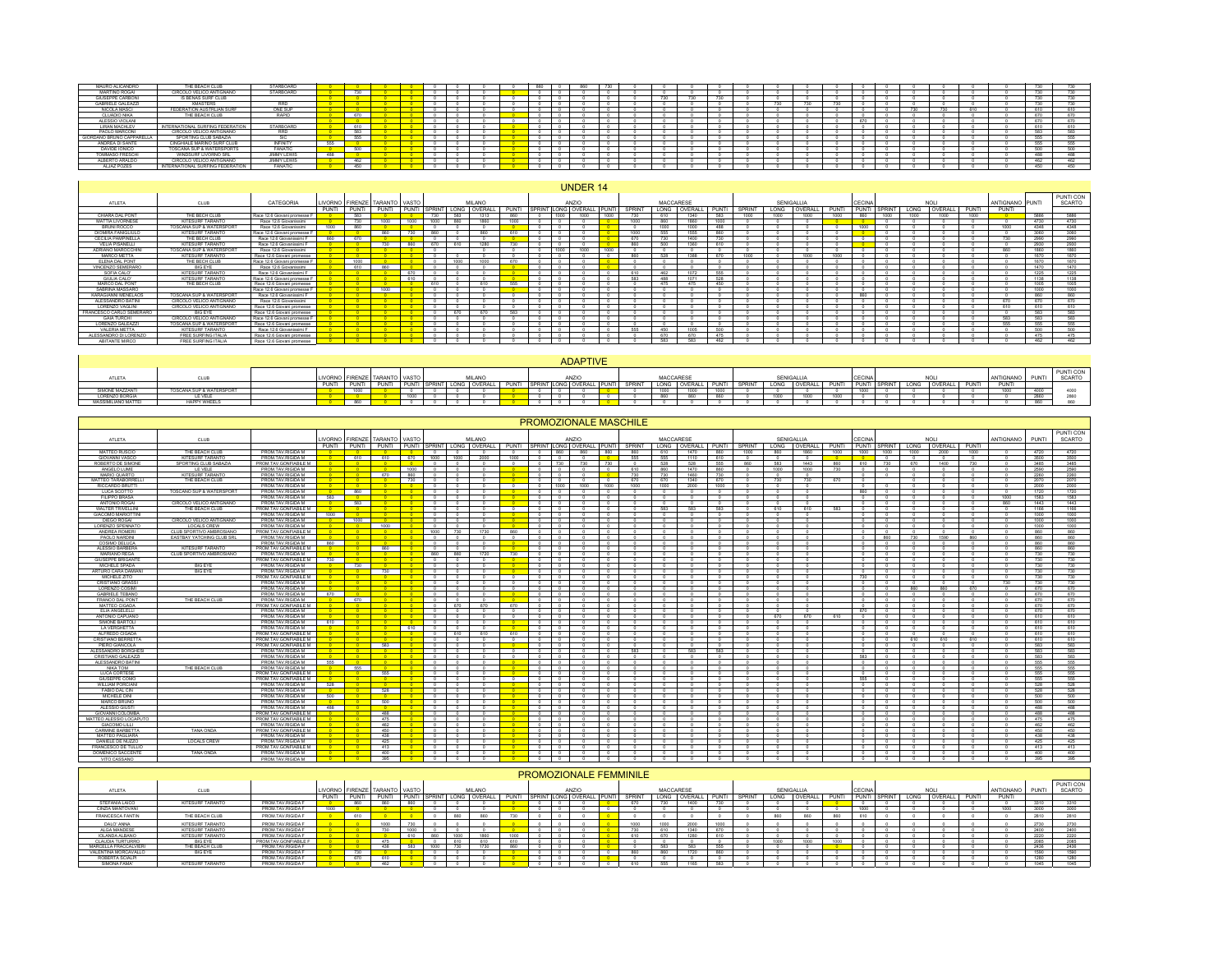| MAURO ALICANDRO           | THE BEACH CLUB                   | STARBOARD        |     |               |  |  |  |  | <b>TOO</b> |     |     |  |     |     |     |            |                      |       | man.       |      |
|---------------------------|----------------------------------|------------------|-----|---------------|--|--|--|--|------------|-----|-----|--|-----|-----|-----|------------|----------------------|-------|------------|------|
| MARTINO ROGAL             | CIRCOLO VELICO ANTIGNANO         | <b>STARBOARD</b> |     | 730           |  |  |  |  |            |     |     |  |     |     |     |            |                      |       |            |      |
| <b>GIUSEPPE CARBONI</b>   | IS BENAS SURF CLUB               |                  |     |               |  |  |  |  |            | 720 | 731 |  |     |     |     |            |                      |       |            |      |
| <b>GABRIELE GALEAZZI</b>  | <b>XMASTERS</b>                  |                  |     |               |  |  |  |  |            |     |     |  | 720 | 755 |     |            |                      |       | $-$        | 730. |
| NICOLA MASCI              | FEDERATION AUSTRLIAN SURF        | ONE SUP          |     |               |  |  |  |  |            |     |     |  |     |     |     | <b>TOO</b> | <b>Black of Con-</b> | 0.801 | diam'r.    |      |
| CLUADIO NIKA              | THE BEACH CLUB                   | RAPID            |     | 670           |  |  |  |  |            |     |     |  |     |     |     |            |                      |       |            |      |
| ALESSIO VIOLANI           |                                  |                  |     |               |  |  |  |  |            |     |     |  |     |     | 670 |            |                      |       |            |      |
| LIRAN MACHLEV             | INTERNATIONAL SURFING FEDERATION | <b>STARBOARD</b> |     | 610           |  |  |  |  |            |     |     |  |     |     |     |            |                      |       | diam'r.    |      |
| PAOLO MARCONI             | CIRCOLO VELICO ANTIGNANO         | <b>RRD</b>       |     | 583           |  |  |  |  |            |     |     |  |     |     |     |            |                      |       |            |      |
| GIORDANO BRUNO CAPPARELLA | SPORTING CLUB SABAZIA            | SIC              |     | <b>R.R.R.</b> |  |  |  |  |            |     |     |  |     |     |     |            |                      |       |            |      |
| ANDREA DI SANTE           | CINGHIALE MARINO SURF CLUB       | INFINITY         | 机机机 |               |  |  |  |  |            |     |     |  |     |     |     |            |                      |       | <b>PPE</b> |      |
| DAVIDE IONICO             | TOSCANA SUP & WATERSPORTS        | FANATIC          |     | 500           |  |  |  |  |            |     |     |  |     |     |     |            |                      |       |            |      |
| <b>TOMMASO FRESCHI</b>    | WINDSURF LIVORNO SRL             | JIMMY LEWIS      | 488 |               |  |  |  |  |            |     |     |  |     |     |     |            |                      |       |            |      |
| ALBERTO ARALDO            | CIRCOLO VELICO ANTIGNANO         | JIMMY LEWIS      |     | 482           |  |  |  |  |            |     |     |  |     |     |     |            |                      |       | APS.       |      |
| ALJAZ POZES               | INTERNATIONAL SURFING FEDERATION | <b>FANATIC</b>   |     | 450           |  |  |  |  |            |     |     |  |     |     |     |            |                      |       |            | 450. |

|                           |                          |                              |       |       |                               |      |            |               |         |               |                    | <b>UNDER 14</b> |               |        |            |         |            |               |      |            |       |           |               |      |         |       |                 |      |                     |
|---------------------------|--------------------------|------------------------------|-------|-------|-------------------------------|------|------------|---------------|---------|---------------|--------------------|-----------------|---------------|--------|------------|---------|------------|---------------|------|------------|-------|-----------|---------------|------|---------|-------|-----------------|------|---------------------|
| ATLETA                    | CLUB                     | CATEGORIA                    |       |       | LIVORNO FIRENZE TARANTO VASTO |      |            | <b>MILANO</b> |         |               |                    | ANZIO           |               |        | MACCARESE  |         |            |               |      | SENIGALLIA |       | CECINA    |               |      |         |       | ANTIGNANO PUNTI |      | PUNTI CON<br>SCARTO |
|                           |                          |                              | PUNTI | PUNTI | PUNTI                         | PUNT |            | SPRINT LONG   | OVERALL | PUNTI         | <b>SPRINT LONG</b> | OVERALL         | <b>IPUNTI</b> | SPRINT | LONG       | OVERALL | PUNTI      | <b>SPRINT</b> | LONG | OVERALL    | PUNTI | PUNTI     | <b>SPRINT</b> | LONG | OVERALL | PUNTI | PUNTI           |      |                     |
| CHIARA DAL PONT           | THE BECH CLUB            | Race 12.6 Giovani promesse F |       | 583   |                               |      | 730        | 583           | 1313    | <b>BRD</b>    | 1000               | $1000 -$        | 1000          |        |            | 1340    | <b>FA3</b> | 1000          | 1000 | 1000       | 1000  | 880       | 1000          | 1000 | 1000    | 1000  |                 | 5886 | 5886                |
| <b>MATTIA LIVORNESE</b>   | KITESURF TARANTO         | Race 12.6 Giovanissimi       |       |       | 1000                          | 1000 | 1000       |               | 1980    | 1000          |                    |                 |               | 1000   |            | 466     | 1000       |               |      |            |       |           |               |      |         |       |                 | 4730 | 4730                |
| BRUNI ROCCO               | TOSCANA SUP & WATERSPORT | Race 12.6 Giovanissimi       | 1000  | een   |                               |      |            |               |         |               |                    |                 |               |        | 1000       | nnn     | 488        |               |      |            |       | 1000      |               |      |         |       | 1000            | 4348 | 4348                |
| <b>DIOMIRA FANIGLIULO</b> | KITESURF TARANTO         | Race 12.6 Giovani promesse F |       |       | <b>BRO</b>                    | 730  | <b>BRO</b> |               | esn     | 610           |                    |                 |               | 1000   | <b>RRR</b> | 1555    | <b>RAD</b> |               |      |            |       | <b>DO</b> | $\sim$        |      |         |       |                 | 3060 | 3060                |
| <b>CECILIA PAMPINELLA</b> | THE BECH CLUB            | Race 12.6 Giovanissimi F     |       |       |                               |      |            |               |         |               |                    |                 |               | 670    |            | 1400    | 730        |               |      |            |       |           |               |      |         |       | 730             | 2990 | 2990                |
| <b>VELIA PISANELLI</b>    | KITESURF TARANTO         | Race 12.6 Giovanissimi F     |       |       |                               | eson | 670        | 610           | 1200    | 730           |                    |                 |               | BBD    | 500        | 1380    | 610        |               |      |            |       |           |               |      |         |       |                 | 2930 | 2930                |
| ADRIANO MAROCCHINI        | TOSCANA SUP & WATERSPORT | Race 12.6 Giovanissimi       |       |       |                               |      |            |               |         |               | 1000               | 1000            | 1000          |        |            |         |            |               |      |            |       |           |               |      |         |       | 860             | 1860 | 1860                |
| <b>MARCO METTA</b>        | KITESURF TARANTO         | Race 12.6 Giovani promesse   |       |       |                               |      |            |               |         |               |                    |                 |               | 860    | <b>528</b> | 1200    | 670        | 1000          |      | 1000       |       |           |               |      |         |       |                 | 1670 | 1670                |
| ELENA DAL PONT            | THE BECH CLUB            | Race 12.6 Giovani promesse F |       | 1000  |                               |      |            | 1000          | 1000    | 670           |                    |                 |               |        |            |         |            |               |      |            |       |           |               |      |         |       |                 | 1670 | 1670                |
| VINCENZO SEMERARO         | <b>BIG EYE</b>           | Race 12.6 Giovanissimi       |       | 610   | esc                           |      |            |               |         |               |                    |                 |               |        |            |         |            |               |      |            |       |           |               |      |         |       |                 | 1470 | 1470                |
| SOFIA CALO'               | KITESURF TARANTO         | Race 12.6 Giovanissimi F     |       |       |                               | 670  |            |               |         |               |                    |                 |               | 610    | 462        | 1072    | 555        |               |      |            |       |           |               |      |         |       |                 | 1225 | 1225                |
| GIULIA CALO'              | KITESURF TARANTO         | Race 12.6 Giovani promesse F |       |       |                               | 610  |            |               |         |               | $\sim$             |                 |               | 5.93   | 488        | 1071    | <b>FOR</b> |               |      |            |       |           | $\sim$        |      |         |       |                 | 1138 | 1138                |
| MARCO DAL PONT            | THE BECH CLUB            | Race 12.6 Giovani promesse   |       |       |                               |      | 610        |               |         | <b>FLFLFL</b> |                    |                 |               |        | 475        | 475     | 450        |               |      |            |       | $\sim$    |               |      |         |       |                 | 1005 | 1005                |
| SABRINA MASSARO           |                          | Race 12.6 Giovani promesse F |       |       |                               |      |            |               |         |               |                    |                 |               |        |            |         |            |               |      |            |       |           |               |      |         |       |                 | 1000 | 1000                |
| KARAGIANNI MENELAOS       | TOSCANA SUP & WATERSPORT | Race 12.6 Giovanissimi F     |       |       |                               |      |            |               |         |               | $\sim$             |                 |               |        |            |         |            |               |      |            |       | 860       | $\sim$        |      |         |       |                 | 880  | <b>DAO</b>          |
| ALESSANDRO BATINI         | CIRCOLO VELICO ANTIGNANO | Race 12.6 Giovanissimi       |       |       |                               |      |            |               |         |               |                    |                 |               |        |            |         |            |               |      |            |       |           |               |      |         |       | 670             | 670  | 670                 |
| <b>LORENZO VAGLINI</b>    | CIRCOLO VELICO ANTIGNANO | Race 12.6 Giovani promesse   |       |       |                               |      |            |               |         |               |                    |                 |               |        |            |         |            |               |      |            |       |           |               |      |         |       | 610             | 610  | 610                 |
| FRANCESCO CARLO SEMERARO  | <b>BIG EYE</b>           | Race 12.6 Giovani promesse   |       |       |                               |      |            | 670           | 670     | 5.97          | $\sim$             |                 |               |        |            |         |            |               |      |            |       | $\sim$    |               |      |         |       |                 | 583  | 593                 |
| <b>GAIA TURCHI</b>        | CIRCOLO VELICO ANTIGNANO | Race 12.6 Giovani promesse F |       |       |                               |      |            |               |         |               |                    |                 |               |        |            |         |            |               |      |            |       |           |               |      |         |       | 583             | 583  | 583                 |
| LORENZO GALEAZZI          | TOSCANA SUP & WATERSPORT | Race 12.6 Giovani promesse   |       |       |                               |      |            |               |         |               |                    |                 |               |        |            |         |            |               |      |            |       |           |               |      |         |       | <b>RRR</b>      | 555  | 555                 |
| VALERIA METTA             | KITESURF TARANTO         | Race 12.6 Giovanissimi F     |       |       |                               |      |            |               |         |               |                    |                 |               | 655    | 450        | 1005    | 500        |               |      |            |       | $\sim$    |               |      |         |       |                 | 500  | 500                 |
| ALESSANDRO DI LORENZO     | FREE SURFING ITALIA      | Race 12.6 Giovani promesse   |       |       |                               |      |            |               |         |               |                    |                 |               |        |            | 670     | 475        |               |      |            |       |           |               |      |         |       |                 | 475  | 475                 |
| ABITANTE MIRCO            | FREE SURFING ITALIA      | Race 12.6 Giovani promesse   |       |       |                               |      |            |               |         |               |                    |                 |               |        | 593        | 6.91    | 462        |               |      |            |       |           |               |      |         |       |                 | 482  | 482                 |

|                    |                          |              |                 |       |  |                     |              |  | <b>ADAPTIVE</b>        |       |         |          |                |      |              |      |            |              |                    |      |         |              |          |             |        |
|--------------------|--------------------------|--------------|-----------------|-------|--|---------------------|--------------|--|------------------------|-------|---------|----------|----------------|------|--------------|------|------------|--------------|--------------------|------|---------|--------------|----------|-------------|--------|
| ATI FT.            |                          |              |                 | TARAN |  | MILANC              |              |  | ANZIO                  |       |         | MACCARES |                |      |              |      | SENIGALLI. |              |                    |      | NO      |              | ANTIGNAN |             | SCARTO |
|                    |                          |              |                 |       |  |                     |              |  |                        |       |         |          |                |      |              |      |            |              |                    |      |         |              |          |             |        |
|                    |                          | <b>PUNTI</b> | <b>CALLATTE</b> |       |  | $\bigcap_{i=1}^{n}$ | <b>DUATE</b> |  | . KINT LONG OVERALL IT | PUNTI | CODINIT | LONG     | <b>OVERALL</b> |      | <b>SPRIN</b> | LONG | OVERALL I  | <b>CHAIN</b> | I PUNTI I SPRINT I | LONG | OVERALI | <b>PLINT</b> | PUNTI    |             |        |
| SIMONE MAZZANTI    | TOSCANA SUP & WATERSPORT |              | 1000            |       |  |                     |              |  |                        |       |         |          | 1000           | 1000 |              |      |            |              |                    |      |         |              | 1000     | 4000        | 4000   |
| LORENZO BORGIA     | LE VELE                  |              |                 |       |  |                     |              |  |                        |       |         |          |                |      |              |      |            |              |                    |      |         |              |          | <b>2860</b> |        |
| MASSIMILIANO MATTE | <b>HAPPY V</b><br>WHEELS |              |                 |       |  |                     |              |  |                        |       |         |          |                |      |              |      |            |              |                    |      |         |              |          | 860         |        |

PROMOZIONALE MASCHILE

|                                         |                                  |                                            |                                |                                       |                                 |                                      |                                    |                          |                                              |                          |                                      |                                                      |                          |                     |                                 | <b>PROMOZIONALE MASCHILE</b>  |                    |                          |                                    |                            |                          |              |                      |                                 |                           |                           |              |                     |                            |              |               |
|-----------------------------------------|----------------------------------|--------------------------------------------|--------------------------------|---------------------------------------|---------------------------------|--------------------------------------|------------------------------------|--------------------------|----------------------------------------------|--------------------------|--------------------------------------|------------------------------------------------------|--------------------------|---------------------|---------------------------------|-------------------------------|--------------------|--------------------------|------------------------------------|----------------------------|--------------------------|--------------|----------------------|---------------------------------|---------------------------|---------------------------|--------------|---------------------|----------------------------|--------------|---------------|
|                                         |                                  |                                            |                                |                                       |                                 |                                      |                                    |                          |                                              |                          |                                      |                                                      |                          |                     |                                 |                               |                    |                          |                                    |                            |                          |              |                      |                                 |                           |                           |              |                     |                            |              | PUNTI CON     |
| ATLETA                                  | CLUB                             |                                            | <b>IVORNO</b>                  | <b>FIRENZE</b>                        | <b>TARANTO VASTO</b>            |                                      |                                    |                          | MII ANO                                      |                          |                                      |                                                      | ANZIO                    |                     |                                 |                               |                    | MACCARESE                |                                    |                            |                          | SENIGALLIA   |                      | <b>CECINA</b>                   |                           |                           | <b>NOLI</b>  |                     | ANTIGNANO                  | PUNTI        | SCARTO        |
|                                         |                                  |                                            | PUNTI                          | PUNTI                                 | PUNTI                           | PUNTI                                | <b>SPRINT</b>                      |                          | LONG OVERALL                                 | PUNTI                    |                                      |                                                      |                          | SPRINT LONG OVERALL | PUNTI                           | SPRINT                        |                    | LONG OVERALL             | PUNTI                              | SPRINT                     | LONG                     | OVERALL      | <b>PUNTI</b>         | <b>PUNTI</b>                    | <b>SPRINT</b>             | LONG                      | OVERALL      | PUNTI               |                            |              |               |
| MATTEO RUSCIO                           | THE BEACH CLUB                   | PROM.TAV.RIGIDA M                          |                                |                                       |                                 |                                      | $\sqrt{2}$                         | $\overline{\phantom{0}}$ |                                              |                          | $\overline{0}$                       |                                                      | 860                      | 860                 | 860                             | 860                           | 610                | 1470                     | 860                                | 1000                       | 860                      | 1860         | 1000                 | 1000                            | 1000                      | 1000                      | 2000         | 1000                |                            | 4720         | 4720          |
| GIOVANNI VASCO                          | KITESURF TARANTO                 | PROM.TAV.RIGIDA M                          |                                | 610                                   | 610                             | 670                                  | 1000                               | 1000                     | 2000                                         | 1000                     | $^{\circ}$                           | $\overline{\phantom{a}}$                             |                          | $\sim$              | $\sim$                          | 555                           | 555                | 1110                     | 610                                | $^{\circ}$                 | $^{\circ}$               | $\circ$      | $\overline{\bullet}$ | 0 <sup>1</sup>                  | $\circ$                   | $\sim$                    |              |                     | $\circ$                    | 3500         | 3500          |
| ROBERTO DE SIMONE<br>ANGELO LUME        | SPORTING CLUB SABAZIA<br>LE VELE | PROM.TAV.GONFIABILE M<br>PROM.TAV.RIGIDA M | $\overline{0}$<br>$\mathbf{a}$ | $-0$<br>$-0$                          | $\sim$<br>$\sim$                | $^{\circ}$<br>1000                   | $\sim$<br>$\overline{\phantom{0}}$ | $\circ$<br>$\Omega$      |                                              | $\circ$                  | $\sim$                               | 730<br>$\overline{\phantom{a}}$                      |                          | 730<br>$\Omega$     | 730<br>$\overline{\phantom{a}}$ | $^{\circ}$<br>610             | 528<br>860         | 528<br>1470              | 555<br>860                         | 860<br>$\Omega$            | 583<br>1000              | 1443<br>1000 | 860<br>730           | 610<br>$\overline{\phantom{0}}$ | 730                       | 670<br>$\sim$             | 1400         | 730<br>$\Omega$     | $^{\circ}$<br>$^{\circ}$   | 3485<br>2590 | 3485          |
| MARIO QUARTO                            | KITESLIRE TARANTO                | PROM TAV RIGIDA M                          | $\overline{\phantom{a}}$       | $\sim$ 0                              | 670                             | Rf                                   | $^{\circ}$                         | $^{\circ}$               |                                              |                          | $\circ$<br>$\sim$                    | $\sqrt{2}$                                           |                          |                     | $\overline{a}$                  | 730                           | 730                | 1460                     | 730                                | $\Omega$                   | $^{\circ}$               |              |                      | $\sqrt{2}$                      | $^{\circ}$<br>$\Omega$    | $\sim$                    |              |                     | $\sim$                     | 2260         | 2590          |
| MATTEO TARABORRELLI                     | THE BEACH CLUB                   | PROM.TAV.RIGIDA M                          | $\overline{\mathbf{a}}$        | $-0$                                  | $\overline{0}$                  | 730                                  | $^{\circ}$                         | $^{\circ}$               |                                              | $\overline{\phantom{a}}$ | $^{\circ}$                           | $^{\circ}$                                           |                          | $\sim$              | $\sim$                          | 670                           | 670                | 1340                     | 670                                | $^{\circ}$                 | 730                      | 730          | 670                  | $\overline{\phantom{0}}$        |                           | $\sim$                    |              | $\sim$              | $\sim$                     | 2070         | 2260<br>2070  |
| RICCARDO BRUTT                          |                                  | PROM.TAV.RIGIDA M                          |                                | $-0$                                  | <b>n</b>                        | <b>COL</b>                           | $^{\circ}$                         | $\sqrt{2}$               |                                              |                          | $\overline{\phantom{a}}$             |                                                      | 1000                     | 1000                | 1000                            | 1000                          | 1000               | 2000                     | 1000                               |                            |                          |              |                      | $^{\circ}$                      | $^{\circ}$                | $\Omega$                  |              |                     | $\Omega$                   | 2000         | 2000          |
| LUCA SCOTTO                             | TOSCANO SUP & WATERSPORT         | PROM.TAV.RIGIDA M                          | $\overline{\phantom{a}}$       | 860                                   |                                 | $\overline{\bullet}$                 | $^{\circ}$                         | $^{\circ}$               |                                              |                          | $\overline{\phantom{0}}$             | $\circ$                                              |                          |                     | $\circ$                         | $\Omega$                      | $\circ$            | $\overline{\phantom{a}}$ | $\overline{\phantom{0}}$           | $^{\circ}$                 | $\circ$                  | $\sqrt{2}$   |                      | 860                             | $\overline{0}$            | $\circ$                   | $^{\circ}$   |                     | $^{\circ}$                 | 1720         | 1720          |
| <b>FILIPPO BRASA</b>                    |                                  | PROM.TAV.RIGIDA M                          | 583                            | - 0-                                  | $\sim$                          | $\sim$                               | $^{\circ}$                         | $\Omega$                 |                                              |                          | $\sim$                               | $^{\circ}$                                           |                          | $\sim$              | $\Omega$                        | $\theta$                      | $^{\circ}$         | $\sim$                   | $\Omega$                           | $\Omega$                   | $^{\circ}$               | $\Omega$     |                      | $\sim$                          | $^{\circ}$                | $\sim$                    | $\Omega$     |                     | 1000                       | 1583         | 1583          |
| ANTONIO ROGAL                           | CIRCOLO VELICO ANTIGNANO         | PROM.TAV.RIGIDA M                          | $\overline{\phantom{0}}$       | 583                                   | $\circ$                         | $^{\circ}$                           | $^{\circ}$                         | $^{\circ}$               |                                              | $^{\circ}$               | $\sim$                               | $^{\circ}$                                           |                          |                     | $^{\circ}$                      |                               |                    |                          | $^{\circ}$                         | $^{\circ}$                 | $^{\circ}$               |              |                      | $^{\circ}$                      | $^{\circ}$                | $^{\circ}$                |              |                     | 860                        | 1443         | 1443          |
| <b>WALTER TRIVELLINI</b>                | THE BEACH CLUB                   | PROM.TAV.GONFIABILE M                      | <b>n</b>                       | - 0-                                  | n                               | $^{\circ}$ 0                         | $\circ$                            | $\circ$                  |                                              | $^{\circ}$               | $\sim$                               |                                                      | $\circ$                  | $\Omega$            | $\circ$                         |                               | 583                | 583                      | 583                                | $\circ$                    | 610                      | 610          | 583                  | $\circ$                         | $^{\circ}$                | $\circ$                   |              | $\Omega$            | $\sim$                     | 1166         | 1166          |
| <b>GIACOMO MARIOTTINI</b>               |                                  | PROM.TAV.RIGIDA M                          | 1000                           | $ \alpha$                             | $\overline{\phantom{a}}$        | $\overline{\phantom{a}}$             | $\overline{\phantom{0}}$           | $\circ$                  |                                              |                          | $\overline{\phantom{a}}$             | $^{\circ}$                                           |                          | $\sim$              | $\overline{a}$                  |                               | $\sim$             | $\sim$                   | $\sqrt{2}$                         | $\sim$                     | $\sim$                   |              |                      | $\overline{0}$                  | $^{\circ}$                | $\sim$                    |              |                     | $\sim$                     | 1000         | 1000          |
| DIEGO ROGA                              | CIRCOLO VELICO ANTIGNANO         | PROM.TAV.RIGIDA M                          |                                | 1000                                  | $\overline{\phantom{a}}$        | $\overline{a}$                       | $^{\circ}$                         | $\sqrt{2}$               |                                              |                          | $^{\circ}$                           | $\overline{\phantom{0}}$                             |                          |                     | $^{\circ}$                      |                               |                    |                          | $^{\circ}$                         |                            | $\overline{a}$           |              |                      | $\sim$                          | $^{\circ}$                |                           |              |                     |                            | 1000         | 1000          |
| LORENZO SPENNATO                        | LOCALS CREW                      | PROM.TAV.RIGIDA M                          | $\overline{\ }$                | $^{\circ}$                            | 1000                            | $\overline{\ }$                      | $\circ$                            | $^{\circ}$               |                                              |                          | $^{\circ}$                           |                                                      | $^{\circ}$               | $\Omega$            | $\circ$                         | $^{\circ}$                    | $^{\circ}$         | $\circ$                  | $^{\circ}$                         | $\overline{0}$             | $\overline{0}$           | $\circ$      |                      | $^{\circ}$                      | $\overline{0}$            | $\overline{0}$            | $\circ$      | $\Omega$            | $\overline{0}$             | 1000         | 1000          |
| ANDREA ROMERI                           | CLUB SPORTIVO AMBROSIANO         | PROM.TAV.GONFIABILE M                      |                                | - 0 -                                 | <b>DOM:</b>                     | $^{\circ}$ 0                         | 1000                               | 730                      | 1730                                         | 860                      | $\circ$                              | $\circ$                                              |                          | $\Omega$            | $\circ$                         | $\Omega$                      | $\sim$             | $\Omega$                 | $\circ$                            | $^{\circ}$                 | $\circ$                  | $\sqrt{2}$   |                      | $\sim$                          | $\circ$                   | $^{\circ}$                | $^{\circ}$   |                     | $^{\circ}$                 | 860          | 860           |
| PAOLO NARDIN<br>COSIMO DELUCA           | EASTBAY YATCHING CLUB SRL        | PROM.TAV.RIGIDA M<br>PROM TAV RIGIDA M     | AND                            | <b>DO</b><br>$\overline{\phantom{a}}$ | $\sim$<br>$\sim$                | $\sim$ 0<br>$\overline{\phantom{a}}$ | $^{\circ}$<br>$^{\circ}$           | $\Omega$                 |                                              | $^{\circ}$               | $\Omega$                             | $\circ$<br>$^{\circ}$                                |                          |                     | $^{\circ}$<br>$\sim$            |                               |                    |                          | $\circ$<br>$^{\circ}$              | $\Omega$<br>$\overline{a}$ | $^{\circ}$<br>$\sim$     |              |                      | $\circ$<br>$^{\circ}$           | 860<br>$\sim$             | 730<br>$\sim$             | 1590         | 860                 | $\theta$<br>$\overline{a}$ | 860<br>AND   | 860<br>860    |
| ALESSIO BARBERA                         | KITESURF TARANTO                 | PROM.TAV.GONFIABILE M                      |                                | <b>COLL</b>                           | 860                             | $-$ 0 $-$                            | $\circ$                            | $\circ$                  |                                              | <b>COLLE</b>             | $\sim$<br>$\overline{\phantom{a}}$   | $\overline{\phantom{0}}$                             |                          | $\Omega$            | $\circ$                         |                               | $\Omega$           |                          | $^{\circ}$                         | $\Omega$                   | $^{\circ}$               |              |                      | $^{\circ}$                      | $^{\circ}$                | $\theta$                  |              | $\sim$              | $\theta$                   | 860          | 860           |
| <b>MARIANO REGA</b>                     | CLUB SPORTIVO AMBROSIANO         | PROM.TAV.RIGIDA M                          | - 0                            | - 0                                   |                                 | $\overline{\bullet}$                 | 860                                | 860                      | 1720                                         | 730                      | $\overline{\phantom{a}}$             |                                                      | $\overline{\phantom{0}}$ |                     | $\overline{a}$                  |                               |                    |                          | $\overline{0}$                     |                            | $\overline{a}$           |              |                      | $\overline{a}$                  | $\circ$                   | $\overline{a}$            |              |                     |                            | 730          | 730           |
| <b>GIUSEPPE BRIGANTE</b>                |                                  | PROM.TAV.GONFIABILE M                      | 730                            | $-0$                                  | n                               | $\overline{\phantom{0}}$             | $\overline{\phantom{0}}$           | $\circ$                  | $\overline{a}$                               | $\sqrt{2}$               | $^{\circ}$                           |                                                      | $^{\circ}$               | $\Omega$            | $\overline{\phantom{0}}$        | $\theta$                      | $\sqrt{2}$         | $\overline{a}$           | $\overline{\phantom{0}}$           | $\overline{0}$             | $\sqrt{2}$               |              |                      | $^{\circ}$                      | $\circ$                   | $\overline{0}$            |              | $\Omega$            | $^{\circ}$                 | 730          | 730           |
| MICHELE SPADA                           | <b>BIG EYE</b>                   | PROM.TAV.RIGIDA M                          |                                | 730                                   | $\sim$                          | $\sim$                               | $^{\circ}$                         | $^{\circ}$               |                                              |                          | 0                                    |                                                      | $^{\circ}$               | $\Omega$            | 0                               | $^{\circ}$                    | $\sim$             | $\sqrt{2}$               | $\mathbf{a}$                       | $\Omega$                   | $^{\circ}$               | - 0          |                      | n                               | $^{\circ}$                | $^{\circ}$                | $\sim$       |                     | $\sim$                     | 730          | 730           |
| ARTURO CARA DAMIAN                      | <b>BIG EYE</b>                   | PROM.TAV.RIGIDA M                          |                                | - 0 -                                 | 730                             | - 0-                                 | $^{\circ}$                         | $\Omega$                 |                                              |                          | $\circ$                              | $\circ$                                              |                          |                     | $\circ$                         |                               |                    |                          | $\circ$                            | $\Omega$                   | $^{\circ}$               |              |                      | $\circ$                         | $^{\circ}$                | $\circ$                   |              |                     | $\theta$                   | 730          | 730           |
| MICHELE ZITO                            |                                  | PROM.TAV.GONFIABILE M                      | $\mathbf{a}$                   | $-0$                                  | $\sim$ 0                        | $\sim$ 0                             | $\circ$                            | $^{\circ}$               |                                              | $\Omega$                 | $\overline{\phantom{a}}$             | $\overline{\phantom{0}}$                             |                          | $\Omega$            | $\overline{\phantom{0}}$        | $\theta$                      | $\Omega$           | $\sim$                   | $\overline{\phantom{0}}$           | $\theta$                   | $\Omega$                 |              |                      | 730                             | $^{\circ}$                | $\sim$                    | $\sim$       | $\Omega$            | $^{\circ}$                 | 730          | 730           |
| CRISTIANO GRASS                         |                                  | PROM.TAV.RIGIDA M                          |                                | $\overline{\phantom{0}}$              |                                 | $\overline{\phantom{0}}$             | $^{\circ}$                         | $\Omega$                 |                                              |                          | $\overline{0}$                       | $^{\circ}$                                           |                          |                     | $\overline{0}$                  |                               |                    |                          | $^{\circ}$                         | $\sim$                     | $\sim$                   |              |                      | $\sim$                          | $\sqrt{2}$                | $\sim$                    |              |                     | 730                        | 730          | 730           |
| LORENZO COSIMI                          |                                  | PROM.TAV.RIGIDA M                          |                                | <b>DOM:</b>                           | <b>DOM:</b>                     | $\sim$                               | $^{\circ}$                         | $\overline{0}$           |                                              |                          | $\Omega$                             | $\overline{\phantom{a}}$                             |                          |                     | $\overline{0}$                  |                               |                    |                          | $\overline{\phantom{a}}$           | $\sim$                     | $\sim$                   |              |                      | $^{\circ}$                      | $\overline{0}$            | 860                       | 860          | 670                 |                            | 670          | 670           |
| <b>GABRIELE TEBANO</b>                  |                                  | PROM.TAV.RIGIDA M                          | 670                            | $-0$                                  | 0                               | $\sim$ 0                             | $\circ$                            | $\circ$                  | $^{\circ}$                                   | <b>COL</b>               | $\circ$                              | $-\circ$                                             |                          | $\Omega$            | $\sim$                          | $\Omega$                      | $\circ$            | $\circ$                  | $\overline{\phantom{a}}$           | $\circ$                    | $^{\circ}$               | $\circ$      |                      | $\overline{\phantom{0}}$        | $\overline{0}$            | $\circ$                   | $\circ$      | $\Omega$            | $^{\circ}$                 | 670          | 670           |
| FRANCO DAL PONT                         | THE BEACH CLUB                   | PROM.TAV.RIGIDA M                          |                                | 670                                   |                                 |                                      | $^{\circ}$                         | $\Omega$                 |                                              |                          | $\circ$                              | $\circ$                                              |                          |                     | $\Omega$                        |                               |                    |                          | $\Omega$                           | $\Omega$                   | $^{\circ}$               |              |                      | $\Omega$                        | $^{\circ}$                | $^{\circ}$                |              |                     | $^{\circ}$                 | 670          | 670           |
| MATTEO CIGADA                           |                                  | PROM.TAV.GONFIABILE M                      |                                | $\sim$ 0                              | <b>n</b>                        | $\sim$                               | $^{\circ}$                         | 670                      | 670<br>$\Omega$                              | 670                      | $\Omega$                             | $^{\circ}$                                           |                          | $\Omega$            | $^{\circ}$                      |                               |                    |                          | $\circ$                            | $\Omega$                   | $^{\circ}$               | $\Omega$     |                      | $\circ$                         | $\circ$                   | $\circ$                   | $\sim$       | $\Omega$            | $\sim$                     | 670          | 670           |
| ELIA ANGELELLI<br>ANTONIO CAPUANO       |                                  | PROM.TAV.RIGIDA M<br>PROM.TAV.RIGIDA M     | $-0$<br>$\overline{0}$         | $-0$                                  | $-0$                            | $\overline{1}$ 0<br>$^{\circ}$       | $\circ$<br>$^{\circ}$              | $\circ$<br>$\circ$       |                                              | $^{\circ}$               | $\sim$<br>$\sim$                     | $\overline{0}$<br>$\overline{\phantom{a}}$           |                          |                     | $\sim$<br>$\Omega$              | $^{\circ}$                    | $\circ$            | $\circ$                  | $\sim$<br>$\overline{\phantom{0}}$ | $\circ$<br>$\Omega$        | $^{\circ}$<br>670        | 670          | 610                  | 670<br>$\overline{\phantom{0}}$ | $\circ$<br>$^{\circ}$     | $\circ$<br>$\overline{0}$ |              |                     | $\circ$<br>$\Omega$        | 670<br>610   | 670<br>610    |
| SIMONE BARTOL                           |                                  | PROM.TAV.RIGIDA M                          | 610                            |                                       |                                 | $\overline{a}$                       | $\sim$                             | $\sim$                   |                                              |                          | $\Omega$                             | $^{\circ}$                                           |                          |                     | $\sim$                          |                               |                    |                          | $\overline{0}$                     |                            |                          |              |                      | $\sim$                          | $\sim$                    | $\sim$                    |              |                     |                            | 610          | 610           |
| LA VERGHETTA                            |                                  | PROM.TAV.RIGIDA M                          | $\overline{0}$                 | $-0$                                  | $\overline{\ }$                 | 610                                  | $^{\circ}$                         | $\overline{\phantom{0}}$ | $^{\circ}$                                   | $-0$                     | $\sim$ 0                             | $\overline{\phantom{a}}$                             |                          | $^{\circ}$          | $\sim$                          | $^{\circ}$                    | $\sim$             | $^{\circ}$               | $\overline{\phantom{a}}$           | $^{\circ}$                 | $^{\circ}$               | $\sim$       |                      | $\overline{\phantom{a}}$        | $\overline{\phantom{a}}$  | $\overline{0}$            | $\sim$       | $^{\circ}$          | $\overline{0}$             | 610          | 610           |
| ALFREDO CIGADA                          |                                  | PROM.TAV.GONFIABILE M                      |                                |                                       |                                 | $^{\circ}$ 0                         | $\circ$                            | 610                      | 610                                          | 610                      | $^{\circ}$                           |                                                      | $\circ$                  |                     | $\circ$                         | $\Omega$                      | $\sim$             |                          | $\circ$                            | $\Omega$                   | $\Omega$                 |              |                      | $\circ$                         | $^{\circ}$                | $\Omega$                  |              |                     | $\Omega$                   | 610          | 610           |
| CRISTIANO BERRETTA                      |                                  | PROM.TAV.GONFIABILE M                      |                                | - 0-                                  | <b>DO</b>                       | <b>COL</b>                           | $\sim$                             | $^{\circ}$               |                                              | $\Omega$                 | $\circ$                              | $\bullet$                                            |                          |                     | $\circ$                         |                               |                    |                          | $\circ$                            | $\Omega$                   | $^{\circ}$               |              |                      | $\circ$                         | $\circ$                   | 610                       | 610          | 610                 | $\theta$                   | 610          | 610           |
| PIERO GIANCOLA                          |                                  | PROM.TAV.GONFIABILE M                      | $\overline{0}$                 | $-0$                                  | 583                             | $\overline{0}$                       | $^{\circ}$                         | $^{\circ}$               | $\sim$                                       | <b>COLL</b>              | $^{\circ}$                           |                                                      | $^{\circ}$               | $\Omega$            | $\overline{\phantom{0}}$        | $\theta$                      | $\Omega$           | $\sim$                   | $^{\circ}$                         | $\Omega$                   | $^{\circ}$               | $\Omega$     |                      | $^{\circ}$                      | $^{\circ}$                | $\overline{\phantom{0}}$  | $\Omega$     | $\Omega$            | $^{\circ}$                 | 583          | 583           |
| ALESSANDRO BORGHES                      |                                  | PROM.TAV.RIGIDA M                          | $\sim$                         | $-0$                                  | n                               | $^{\circ}$                           | $^{\circ}$                         | $^{\circ}$               |                                              | $^{\circ}$               | $\sim$                               |                                                      | $\circ$                  |                     | $\sim$                          | 583                           | $\theta$           | 583                      | 583                                | $\Omega$                   | $\Omega$                 |              |                      | $^{\circ}$                      | $^{\circ}$                | $\sim$                    |              |                     | $\Omega$                   | 583          | 583           |
| CRISTIANO GALEAZZI                      |                                  | PROM.TAV.RIGIDA M                          |                                | <b>COL</b>                            | <b>DOM:</b>                     | $\sim$                               | $\circ$                            | $\Omega$                 |                                              |                          | $\Omega$                             |                                                      | $^{\circ}$               |                     | $^{\circ}$                      |                               |                    |                          | $\Omega$                           |                            | $\Omega$                 |              |                      | 583                             | $\Omega$                  | $\sim$                    |              |                     |                            | 583          | 583           |
| ALESSANDRO BATINI                       |                                  | PROM.TAV.RIGIDA M                          | 555                            | $\sim$ 0                              | n                               | $\overline{\phantom{a}}$             | $\overline{\phantom{a}}$           | $\overline{\phantom{0}}$ | $\sim$                                       | <b>COLLE</b>             | $\overline{\phantom{0}}$             | $\overline{\phantom{a}}$                             |                          | $\sim$              | $\overline{\phantom{a}}$        | $\sim$                        | $\sqrt{2}$         | $\overline{a}$           | $\overline{\phantom{a}}$           | $\overline{0}$             | $\overline{0}$           | $\sim$       |                      | $\overline{0}$                  | $\overline{\phantom{0}}$  | $\overline{\phantom{0}}$  | $\sim$       | $\overline{a}$      | $\sqrt{2}$                 | 555          | 555           |
| <b>NIKA TOM</b>                         | THE BEACH CLUB                   | PROM.TAV.RIGIDA M<br>PROM.TAV.GONFIABILE M |                                | 555                                   |                                 | $\overline{0}$                       | $^{\circ}$                         | $^{\circ}$               |                                              |                          | $^{\circ}$                           | $^{\circ}$                                           |                          |                     | $\overline{0}$                  |                               |                    |                          | $\circ$                            |                            | $\sqrt{2}$               |              |                      |                                 | $^{\circ}$                | $\overline{0}$            |              |                     |                            | 555          | 555           |
| <b>LUCA CORTESE</b>                     |                                  | PROM.TAV.GONFIABILE M                      | $\mathbf{a}$                   | $^{\circ}$ 0<br>$-0$                  | 555<br>$-0$                     | $\overline{0}$<br>$^{\circ}$ 0       | $^{\circ}$<br>$\circ$              | $^{\circ}$<br>$^{\circ}$ | $^{\circ}$                                   | $\circ$                  | $\circ$<br>$\sim$                    | $\bullet$                                            | $\circ$                  | $\Omega$            | $\circ$<br>$\circ$              | $\Omega$                      | $\circ$<br>$\circ$ | $\Omega$                 | $\circ$<br>$\circ$                 | $^{\circ}$<br>$^{\circ}$   | $\circ$                  | $\sim$       |                      | $\circ$<br>555                  | $\circ$                   | $\circ$<br>$\circ$        | $\sim$       | $\Omega$            | $^{\circ}$<br>$^{\circ}$   | 555          | 555<br>555    |
| GIUSEPPE COMO<br>WILLIAM PORCIANI       |                                  | PROM.TAV.RIGIDA M                          | 528                            | <b>COL</b>                            | n                               | $\sim$                               | $^{\circ}$                         | $\Omega$                 |                                              |                          | $\circ$                              | $\circ$                                              |                          |                     | $\circ$                         |                               |                    |                          | $\circ$                            | $\Omega$                   | $\circ$<br>$\Omega$      |              |                      | $\circ$                         | $\circ$<br>$^{\circ}$     | $\sim$                    |              |                     |                            | 555<br>528   | 528           |
| FABIO DAL CIN                           |                                  | PROM TAV RIGIDA M                          | <b>DOM:</b>                    |                                       | 528                             | $\overline{\phantom{a}}$             | $\sim$                             | $\sim$                   |                                              |                          | $\sim$                               | $\sim$                                               |                          |                     | $\sim$                          |                               |                    |                          | $\sim$                             |                            | $\overline{a}$           |              |                      | $\sim$                          | $\theta$                  | $\overline{a}$            |              |                     |                            | 528          | 528           |
| MICHELE DINI                            |                                  | PROM.TAV.RIGIDA M                          | 500                            | $ \alpha$                             | n                               | $\sim$ 0                             | $\bullet$                          | $\overline{\phantom{a}}$ | $\Omega$                                     | <b>COLOR</b>             | $\sim$                               | $\overline{\phantom{a}}$                             |                          | $\circ$             | $\overline{\phantom{a}}$        | $\Omega$                      | $\circ$            | $\Omega$                 | $\sqrt{2}$                         | $\overline{a}$             | $^{\circ}$               |              |                      | $^{\circ}$                      | $\overline{0}$            | $\overline{0}$            | $\sim$       | $\Omega$            | $\sqrt{2}$                 | 500          | 500           |
| MARCO BRUNO                             |                                  | PROM.TAV.RIGIDA M                          |                                | $\overline{\ }$                       | 500                             | $\overline{\bullet}$                 | $\overline{\phantom{0}}$           | $\overline{0}$           |                                              |                          | $\overline{\phantom{0}}$             |                                                      | $\overline{\phantom{0}}$ |                     | $\overline{\phantom{0}}$        |                               | $\overline{0}$     |                          | $\overline{\phantom{0}}$           |                            | $\Omega$                 |              |                      | $\overline{\phantom{0}}$        | $\overline{0}$            | $\overline{0}$            |              |                     |                            | 500          | 500           |
| ALESSIO GIUST                           |                                  | PROM.TAV.RIGIDA M                          | 488                            |                                       |                                 | <b>DO</b>                            | $^{\circ}$                         | $^{\circ}$               |                                              |                          | $\overline{\phantom{0}}$             | $\bullet$                                            |                          |                     | $\circ$                         |                               |                    |                          | $\circ$                            |                            | $^{\circ}$               |              |                      | $\circ$                         | $^{\circ}$                | $^{\circ}$                |              |                     | $^{\circ}$                 | 488          | 488           |
| GIOVANNI COLOMBA                        |                                  | PROM.TAV.GONFIABILE M                      | $\sim$                         | - 0 -                                 | 488                             | - 0-                                 | $^{\circ}$                         | $^{\circ}$               | $^{\circ}$                                   | <b>COLL</b>              | $^{\circ}$                           | $\circ$                                              |                          | $\Omega$            | $\sim$                          | $^{\circ}$                    | $\sim$             | $\sim$                   | $\circ$                            | $\Omega$                   | $^{\circ}$               | $\sim$       |                      | $^{\circ}$                      | $^{\circ}$                | $^{\circ}$                | $^{\circ}$   | $\Omega$            | $^{\circ}$                 | 488          | 488           |
| MATTEO ALESSIO LOCAPUTO                 |                                  | PROM.TAV.GONFIABILE M                      | <b>n</b>                       | $\overline{\phantom{a}}$              | 475                             | <b>COL</b>                           | $\circ$                            | $\Omega$                 |                                              | n                        | $\sim$                               |                                                      | $\circ$                  |                     | $^{\circ}$                      |                               |                    |                          | $\circ$                            | $\Omega$                   | $\Omega$                 |              |                      | $\circ$                         | $\Omega$                  | $\theta$                  |              |                     | $\theta$                   | 475          | 475           |
| GIACOMO LILL                            |                                  | PROM TAV RIGIDA M                          |                                |                                       | 462                             |                                      | $^{\circ}$                         |                          |                                              |                          | $\overline{\phantom{0}}$             | $\overline{\phantom{0}}$                             |                          |                     | $\Omega$                        |                               |                    |                          | $\overline{\phantom{0}}$           |                            | $\sim$                   |              |                      | $\sim$                          | $^{\circ}$                | $\sim$                    |              |                     |                            | 462          | 462           |
| <b>CARMINE BARBETTA</b>                 | TANA ONDA                        | PROM.TAV.GONFIABILE M                      | $\sim$                         | $\sim$                                | 450                             | $\overline{a}$                       | $\sim$                             | $\sim$                   |                                              |                          | $\sim$                               | $\overline{a}$                                       |                          | $\sim$              | $\sim$                          | $\sim$                        | $\sim$             | $\sim$                   | $^{\circ}$                         | $\sim$<br>$\overline{0}$   | $\sim$                   |              |                      | $^{\circ}$                      | $\sim$                    | $\sim$                    | $\sim$       | $\sim$              | $\sim$                     | 450          | 450           |
| MATTEO PAGLIARA                         |                                  | PROM.TAV.RIGIDA M                          | $\overline{\mathbf{0}}$        | $\sim$ 0                              | 438                             | <b>n</b>                             | $\overline{\phantom{a}}$           | $\overline{0}$           |                                              |                          | $\overline{\phantom{a}}$             | $\overline{\phantom{0}}$                             |                          |                     | $\overline{\bullet}$            |                               |                    |                          | $\overline{\ }$                    |                            | $^{\circ}$               |              |                      | $\overline{\phantom{a}}$        | $\overline{0}$            | $\overline{0}$            |              |                     |                            | 438          | 438           |
| DANIELE DE NUZZO<br>FRANCESCO DE TULLIO | <b>LOCALS CREW</b>               | PROM.TAV.RIGIDA M<br>PROM.TAV.GONFIABILE M | $\mathbf{a}$                   | $\sim$ 0<br>$-0$                      | 425<br>413                      | <b>n</b>                             | $^{\circ}$<br>$\circ$              | $^{\circ}$<br>$^{\circ}$ |                                              | $\Omega$                 | $\overline{\phantom{0}}$<br>$\sim$ 0 | $\overline{\phantom{0}}$<br>$\overline{\phantom{a}}$ |                          | $\Omega$            | $^{\circ}$<br>$\sim$            | $\Omega$                      | $\Omega$           | $\Omega$                 | $\circ$<br>$\circ$                 | $\Omega$                   | $^{\circ}$<br>$^{\circ}$ | $\Omega$     |                      | $\sim$                          | $\circ$<br>$\circ$        | $\circ$<br>$\circ$        | $\sim$       | $\Omega$            | $^{\circ}$                 | 425<br>413   | 425<br>413    |
| DOMENICO SACCENTE                       | TANA ONDA                        | PROM.TAV.RIGIDA M                          |                                | $\overline{\phantom{a}}$              | 400                             |                                      | $^{\circ}$                         | $\sim$                   |                                              |                          | $^{\circ}$                           |                                                      | $^{\circ}$               |                     | $\Omega$                        |                               |                    |                          | $\sim$                             |                            | $\Omega$                 |              |                      | $\Omega$                        | $\Omega$                  | $\sim$                    |              |                     |                            | 400          | 400           |
| VITO CASSANO                            |                                  | PROM.TAV.RIGIDA M                          | 0 <sup>1</sup>                 | $-0$                                  | 395                             | <b>COL</b>                           | $\circ$                            | $\bullet$                |                                              | $\sim$                   | $\sim$                               |                                                      | $\sim$                   |                     | $\circ$                         |                               | $\circ$            |                          | $\circ$                            | $\theta$                   | $^{\circ}$               |              |                      | $\sim$                          | $\circ$                   | $\circ$                   |              | $\Omega$            | $\theta$                   | 395          | 395           |
|                                         |                                  |                                            |                                |                                       |                                 |                                      |                                    |                          |                                              |                          |                                      |                                                      |                          |                     |                                 |                               |                    |                          |                                    |                            |                          |              |                      |                                 |                           |                           |              |                     |                            |              |               |
|                                         |                                  |                                            |                                |                                       |                                 |                                      |                                    |                          |                                              |                          |                                      |                                                      |                          |                     |                                 | <b>PROMOZIONALE FEMMINILE</b> |                    |                          |                                    |                            |                          |              |                      |                                 |                           |                           |              |                     |                            |              |               |
|                                         |                                  |                                            |                                |                                       |                                 |                                      |                                    |                          |                                              |                          |                                      |                                                      |                          |                     |                                 |                               |                    |                          |                                    |                            |                          |              |                      |                                 |                           |                           |              |                     |                            |              | PUNTI CON     |
| ATLETA                                  | CLUB                             |                                            |                                |                                       | LIVORNO FIRENZE TARANTO I VASTO |                                      |                                    |                          | <b>MILANO</b>                                |                          |                                      |                                                      | ANZIO                    |                     |                                 |                               |                    | MACCARESE                |                                    |                            |                          | SENIGALLIA   |                      | CECINA                          |                           |                           | <b>NOLI</b>  |                     | ANTIGNANO                  | PUNTI        | <b>SCARTO</b> |
|                                         |                                  |                                            |                                |                                       |                                 |                                      |                                    |                          | LONG OVERALL PUNTI SPRINT LONG OVERALL PUNTI |                          |                                      |                                                      |                          |                     |                                 | SPRINT                        |                    |                          |                                    | SPRINT                     |                          | LONG OVERALL | PUNTI PUNTI          |                                 |                           |                           | LONG OVERALL |                     |                            |              |               |
| STEFANIA LAICO                          | KITESURF TARANTO                 | PROM.TAV.RIGIDA F                          | <b>PUNTI</b><br>- 0            | PUNTI                                 |                                 | PUNTI PUNTI SPRINT                   |                                    | $^{\circ}$               |                                              | $\sqrt{2}$               |                                      |                                                      |                          |                     | $\sim$                          | 670                           | 730                |                          | LONG OVERALL PUNTI                 |                            | $\sim$                   |              | $\sqrt{a}$           | $^{\circ}$                      | <b>SPRINT</b><br>$\Omega$ | $\sim$                    |              | PUNTI  <br>$\Omega$ | PUNTI<br>$\sim$            |              |               |
| CINZIA MANTOVANI                        |                                  | PROM.TAV.RIGIDA F                          | 1000                           | 860                                   | 860<br>n                        | 860                                  | $\circ$                            | $\circ$                  |                                              |                          | $\sim$<br>$\overline{\phantom{0}}$   |                                                      | $\circ$<br>$^{\circ}$    |                     | $\circ$                         |                               | $\sim$             | 1400                     | 730<br>$\sim$                      | $\theta$                   | $\Omega$                 |              | $^{\circ}$           | 1000                            | $\Omega$                  | $\overline{\phantom{a}}$  |              | $\sim$              | 1000                       | 3310<br>3000 | 3310<br>3000  |
|                                         |                                  |                                            |                                |                                       |                                 |                                      |                                    |                          |                                              |                          |                                      |                                                      |                          |                     |                                 |                               |                    |                          |                                    |                            |                          |              |                      |                                 |                           |                           |              |                     |                            |              |               |

| CINZIA MANTOVANI        |                   | PROM.TAV.RIGIDA F   |     |                |  |  |  |  |      |      |            |  |  | <b><i>BURB</i></b> |  |  |                     |  |
|-------------------------|-------------------|---------------------|-----|----------------|--|--|--|--|------|------|------------|--|--|--------------------|--|--|---------------------|--|
| FRANCESCA FANTIN        | THE BEACH CLUb    | PROM.TAV.RIGIDA F   |     |                |  |  |  |  |      |      |            |  |  |                    |  |  |                     |  |
| DALO' ANNA              | KITESURF TARANTO  | PROM.TAV.RIGIDA F   |     |                |  |  |  |  |      |      |            |  |  |                    |  |  |                     |  |
| ALGA MANDESE            | KITESURF TARANTO  | PROM.TAV.RIGIDA I   |     | A CYCH<br>1001 |  |  |  |  | 610  | 1340 |            |  |  |                    |  |  |                     |  |
| <b>IOLANDA ALBANO</b>   | KITESURF TARANTO  | PROM.TAV.RIGIDA     |     |                |  |  |  |  | 670  |      |            |  |  |                    |  |  |                     |  |
| <b>CLAUDIA TURTURRO</b> | <b>BIG EYE</b>    | PROM TAV GONFIARILL |     |                |  |  |  |  |      |      |            |  |  |                    |  |  |                     |  |
| MARCELLA FRACCALVIERI   | THE BEACH CLU     | PROM.TAV.RIGIDA F   |     |                |  |  |  |  | en a |      | $^{\circ}$ |  |  |                    |  |  | <b>GASP</b><br>- 24 |  |
| VALENTINA MORCAVALLO    | BIG EYE           | PROM.TAV.RIGIDA F   | 720 |                |  |  |  |  |      |      |            |  |  |                    |  |  |                     |  |
| ROBERTA SCIALPI         |                   | PROM.TAV.RIGIDA F   |     |                |  |  |  |  |      |      |            |  |  |                    |  |  |                     |  |
| SIMONA FAMA*            | KITESLIRE TARANTO | PROM TAV RIGIDA I   |     |                |  |  |  |  | ---  |      |            |  |  |                    |  |  |                     |  |